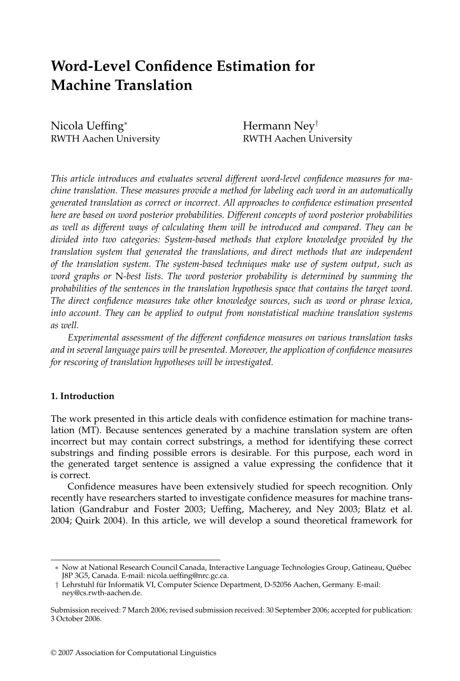# **Word-Level Confidence Estimation for Machine Translation**

Nicola Ueffing<sup>∗</sup> RWTH Aachen University Hermann Ney† RWTH Aachen University

*This article introduces and evaluates several different word-level confidence measures for machine translation. These measures provide a method for labeling each word in an automatically generated translation as correct or incorrect. All approaches to confidence estimation presented here are based on word posterior probabilities. Different concepts of word posterior probabilities as well as different ways of calculating them will be introduced and compared. They can be divided into two categories: System-based methods that explore knowledge provided by the translation system that generated the translations, and direct methods that are independent of the translation system. The system-based techniques make use of system output, such as word graphs or* N*-best lists. The word posterior probability is determined by summing the probabilities of the sentences in the translation hypothesis space that contains the target word. The direct confidence measures take other knowledge sources, such as word or phrase lexica, into account. They can be applied to output from nonstatistical machine translation systems as well.*

*Experimental assessment of the different confidence measures on various translation tasks and in several language pairs will be presented. Moreover, the application of confidence measures for rescoring of translation hypotheses will be investigated.*

### **1. Introduction**

The work presented in this article deals with confidence estimation for machine translation (MT). Because sentences generated by a machine translation system are often incorrect but may contain correct substrings, a method for identifying these correct substrings and finding possible errors is desirable. For this purpose, each word in the generated target sentence is assigned a value expressing the confidence that it is correct.

Confidence measures have been extensively studied for speech recognition. Only recently have researchers started to investigate confidence measures for machine translation (Gandrabur and Foster 2003; Ueffing, Macherey, and Ney 2003; Blatz et al. 2004; Quirk 2004). In this article, we will develop a sound theoretical framework for

<sup>∗</sup> Now at National Research Council Canada, Interactive Language Technologies Group, Gatineau, Quebec ´ J8P 3G5, Canada. E-mail: nicola.ueffing@nrc.gc.ca.

<sup>†</sup> Lehrstuhl fur Informatik VI, Computer Science Department, D-52056 Aachen, Germany. E-mail: ¨ ney@cs.rwth-aachen.de.

Submission received: 7 March 2006; revised submission received: 30 September 2006; accepted for publication: 3 October 2006.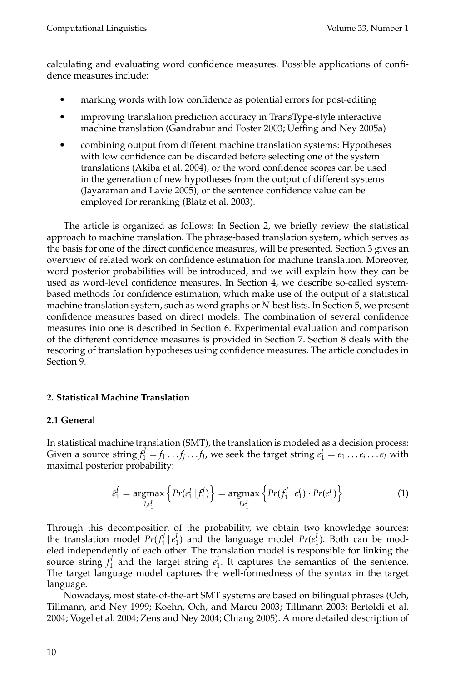calculating and evaluating word confidence measures. Possible applications of confidence measures include:

- marking words with low confidence as potential errors for post-editing
- improving translation prediction accuracy in TransType-style interactive machine translation (Gandrabur and Foster 2003; Ueffing and Ney 2005a)
- combining output from different machine translation systems: Hypotheses with low confidence can be discarded before selecting one of the system translations (Akiba et al. 2004), or the word confidence scores can be used in the generation of new hypotheses from the output of different systems (Jayaraman and Lavie 2005), or the sentence confidence value can be employed for reranking (Blatz et al. 2003).

The article is organized as follows: In Section 2, we briefly review the statistical approach to machine translation. The phrase-based translation system, which serves as the basis for one of the direct confidence measures, will be presented. Section 3 gives an overview of related work on confidence estimation for machine translation. Moreover, word posterior probabilities will be introduced, and we will explain how they can be used as word-level confidence measures. In Section 4, we describe so-called systembased methods for confidence estimation, which make use of the output of a statistical machine translation system, such as word graphs or *N*-best lists. In Section 5, we present confidence measures based on direct models. The combination of several confidence measures into one is described in Section 6. Experimental evaluation and comparison of the different confidence measures is provided in Section 7. Section 8 deals with the rescoring of translation hypotheses using confidence measures. The article concludes in Section 9.

# **2. Statistical Machine Translation**

# **2.1 General**

In statistical machine translation (SMT), the translation is modeled as a decision process: Given a source string  $f_1^J = f_1 \dots f_j \dots f_J$ , we seek the target string  $e_1^J = e_1 \dots e_i \dots e_I$  with maximal posterior probability:

$$
\hat{e}_1^{\hat{i}} = \underset{l, e_1^I}{\text{argmax}} \left\{ Pr(e_1^I \mid f_1^J) \right\} = \underset{l, e_1^I}{\text{argmax}} \left\{ Pr(f_1^J \mid e_1^I) \cdot Pr(e_1^I) \right\} \tag{1}
$$

Through this decomposition of the probability, we obtain two knowledge sources: the translation model  $Pr(f_1^f | e_1^I)$  and the language model  $Pr(e_1^I)$ . Both can be modeled independently of each other. The translation model is responsible for linking the source string  $f_1^j$  and the target string  $e_1^j$ . It captures the semantics of the sentence. The target language model captures the well-formedness of the syntax in the target language.

Nowadays, most state-of-the-art SMT systems are based on bilingual phrases (Och, Tillmann, and Ney 1999; Koehn, Och, and Marcu 2003; Tillmann 2003; Bertoldi et al. 2004; Vogel et al. 2004; Zens and Ney 2004; Chiang 2005). A more detailed description of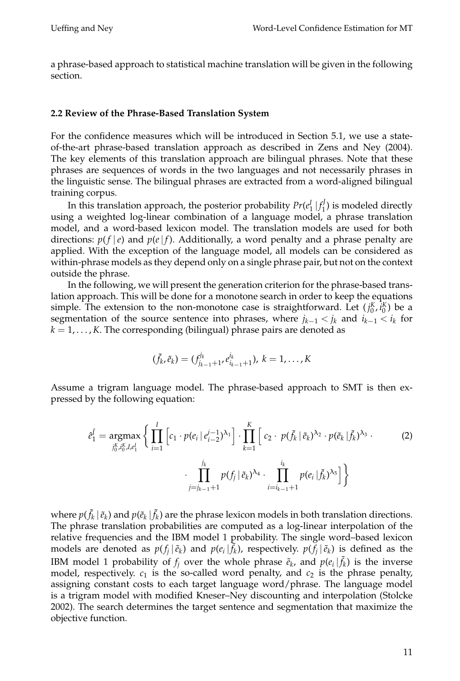a phrase-based approach to statistical machine translation will be given in the following section.

#### **2.2 Review of the Phrase-Based Translation System**

For the confidence measures which will be introduced in Section 5.1, we use a stateof-the-art phrase-based translation approach as described in Zens and Ney (2004). The key elements of this translation approach are bilingual phrases. Note that these phrases are sequences of words in the two languages and not necessarily phrases in the linguistic sense. The bilingual phrases are extracted from a word-aligned bilingual training corpus.

In this translation approach, the posterior probability  $Pr(e_1^I | f_1^J)$  is modeled directly using a weighted log-linear combination of a language model, a phrase translation model, and a word-based lexicon model. The translation models are used for both directions:  $p(f | e)$  and  $p(e | f)$ . Additionally, a word penalty and a phrase penalty are applied. With the exception of the language model, all models can be considered as within-phrase models as they depend only on a single phrase pair, but not on the context outside the phrase.

In the following, we will present the generation criterion for the phrase-based translation approach. This will be done for a monotone search in order to keep the equations simple. The extension to the non-monotone case is straightforward. Let  $(j_0^K, \bar{i}_0^K)$  be a segmentation of the source sentence into phrases, where  $j_{k-1} < j_k$  and  $i_{k-1} < i_k$  for  $k = 1, \ldots, K$ . The corresponding (bilingual) phrase pairs are denoted as

$$
(\tilde{f}_k, \tilde{e}_k) = (f_{j_{k-1}+1}^{j_k}, e_{i_{k-1}+1}^{i_k}), k = 1, ..., K
$$

Assume a trigram language model. The phrase-based approach to SMT is then expressed by the following equation:

$$
\hat{e}_{1}^{\hat{i}} = \underset{j_{0}^{K}, i_{0}^{K}, l, e_{1}^{I}}{\operatorname{argmax}} \left\{ \prod_{i=1}^{I} \left[ c_{1} \cdot p(e_{i} \mid e_{i-2}^{i-1})^{\lambda_{1}} \right] \cdot \prod_{k=1}^{K} \left[ c_{2} \cdot p(\tilde{f}_{k} \mid \tilde{e}_{k})^{\lambda_{2}} \cdot p(\tilde{e}_{k} \mid \tilde{f}_{k})^{\lambda_{3}} \cdot \right] \cdot \prod_{j=j_{k-1}+1}^{j_{k}} p(f_{j} \mid \tilde{e}_{k})^{\lambda_{4}} \cdot \prod_{i=i_{k-1}+1}^{i_{k}} p(e_{i} \mid \tilde{f}_{k})^{\lambda_{5}} \right] \right\}
$$
(2)

where  $p(\tilde{f}_k | \tilde{e}_k)$  and  $p(\tilde{e}_k | \tilde{f}_k)$  are the phrase lexicon models in both translation directions. The phrase translation probabilities are computed as a log-linear interpolation of the relative frequencies and the IBM model 1 probability. The single word–based lexicon models are denoted as  $p(f_j | \tilde{e}_k)$  and  $p(e_i | \tilde{f}_k)$ , respectively.  $p(f_j | \tilde{e}_k)$  is defined as the IBM model 1 probability of  $f_j$  over the whole phrase  $\tilde{e}_k$ , and  $p(e_i | \tilde{f}_k)$  is the inverse model, respectively.  $c_1$  is the so-called word penalty, and  $c_2$  is the phrase penalty, assigning constant costs to each target language word/phrase. The language model is a trigram model with modified Kneser–Ney discounting and interpolation (Stolcke 2002). The search determines the target sentence and segmentation that maximize the objective function.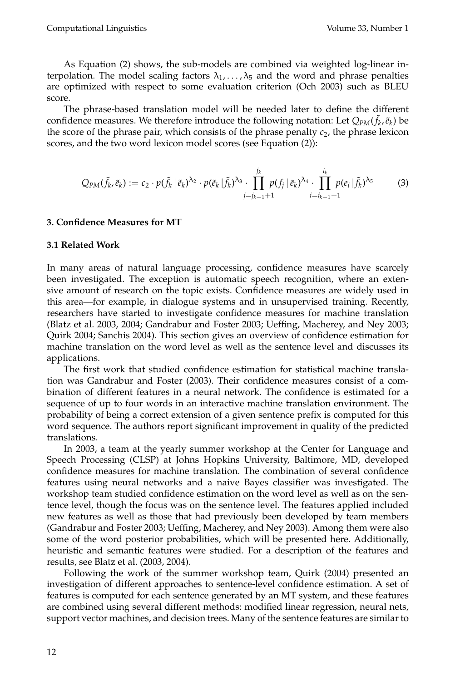As Equation (2) shows, the sub-models are combined via weighted log-linear interpolation. The model scaling factors  $\lambda_1, \ldots, \lambda_5$  and the word and phrase penalties are optimized with respect to some evaluation criterion (Och 2003) such as BLEU score.

The phrase-based translation model will be needed later to define the different confidence measures. We therefore introduce the following notation: Let  $Q_{PM}(\tilde{f}_k, \tilde{e}_k)$  be the score of the phrase pair, which consists of the phrase penalty  $c<sub>2</sub>$ , the phrase lexicon scores, and the two word lexicon model scores (see Equation (2)):

$$
Q_{PM}(\tilde{f}_k, \tilde{e}_k) := c_2 \cdot p(\tilde{f}_k \mid \tilde{e}_k)^{\lambda_2} \cdot p(\tilde{e}_k \mid \tilde{f}_k)^{\lambda_3} \cdot \prod_{j=j_{k-1}+1}^{j_k} p(f_j \mid \tilde{e}_k)^{\lambda_4} \cdot \prod_{i=i_{k-1}+1}^{i_k} p(e_i \mid \tilde{f}_k)^{\lambda_5}
$$
(3)

#### **3. Confidence Measures for MT**

#### **3.1 Related Work**

In many areas of natural language processing, confidence measures have scarcely been investigated. The exception is automatic speech recognition, where an extensive amount of research on the topic exists. Confidence measures are widely used in this area—for example, in dialogue systems and in unsupervised training. Recently, researchers have started to investigate confidence measures for machine translation (Blatz et al. 2003, 2004; Gandrabur and Foster 2003; Ueffing, Macherey, and Ney 2003; Quirk 2004; Sanchis 2004). This section gives an overview of confidence estimation for machine translation on the word level as well as the sentence level and discusses its applications.

The first work that studied confidence estimation for statistical machine translation was Gandrabur and Foster (2003). Their confidence measures consist of a combination of different features in a neural network. The confidence is estimated for a sequence of up to four words in an interactive machine translation environment. The probability of being a correct extension of a given sentence prefix is computed for this word sequence. The authors report significant improvement in quality of the predicted translations.

In 2003, a team at the yearly summer workshop at the Center for Language and Speech Processing (CLSP) at Johns Hopkins University, Baltimore, MD, developed confidence measures for machine translation. The combination of several confidence features using neural networks and a naive Bayes classifier was investigated. The workshop team studied confidence estimation on the word level as well as on the sentence level, though the focus was on the sentence level. The features applied included new features as well as those that had previously been developed by team members (Gandrabur and Foster 2003; Ueffing, Macherey, and Ney 2003). Among them were also some of the word posterior probabilities, which will be presented here. Additionally, heuristic and semantic features were studied. For a description of the features and results, see Blatz et al. (2003, 2004).

Following the work of the summer workshop team, Quirk (2004) presented an investigation of different approaches to sentence-level confidence estimation. A set of features is computed for each sentence generated by an MT system, and these features are combined using several different methods: modified linear regression, neural nets, support vector machines, and decision trees. Many of the sentence features are similar to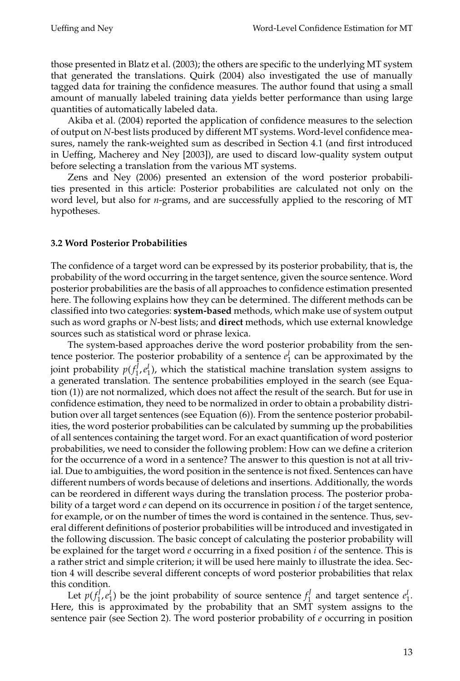those presented in Blatz et al. (2003); the others are specific to the underlying MT system that generated the translations. Quirk (2004) also investigated the use of manually tagged data for training the confidence measures. The author found that using a small amount of manually labeled training data yields better performance than using large quantities of automatically labeled data.

Akiba et al. (2004) reported the application of confidence measures to the selection of output on *N*-best lists produced by different MT systems. Word-level confidence measures, namely the rank-weighted sum as described in Section 4.1 (and first introduced in Ueffing, Macherey and Ney [2003]), are used to discard low-quality system output before selecting a translation from the various MT systems.

Zens and Ney (2006) presented an extension of the word posterior probabilities presented in this article: Posterior probabilities are calculated not only on the word level, but also for *n*-grams, and are successfully applied to the rescoring of MT hypotheses.

# **3.2 Word Posterior Probabilities**

The confidence of a target word can be expressed by its posterior probability, that is, the probability of the word occurring in the target sentence, given the source sentence. Word posterior probabilities are the basis of all approaches to confidence estimation presented here. The following explains how they can be determined. The different methods can be classified into two categories: **system-based** methods, which make use of system output such as word graphs or *N*-best lists; and **direct** methods, which use external knowledge sources such as statistical word or phrase lexica.

The system-based approaches derive the word posterior probability from the sentence posterior. The posterior probability of a sentence  $e_1^I$  can be approximated by the joint probability  $p(f_1^f, e_1^I)$ , which the statistical machine translation system assigns to a generated translation. The sentence probabilities employed in the search (see Equation (1)) are not normalized, which does not affect the result of the search. But for use in confidence estimation, they need to be normalized in order to obtain a probability distribution over all target sentences (see Equation (6)). From the sentence posterior probabilities, the word posterior probabilities can be calculated by summing up the probabilities of all sentences containing the target word. For an exact quantification of word posterior probabilities, we need to consider the following problem: How can we define a criterion for the occurrence of a word in a sentence? The answer to this question is not at all trivial. Due to ambiguities, the word position in the sentence is not fixed. Sentences can have different numbers of words because of deletions and insertions. Additionally, the words can be reordered in different ways during the translation process. The posterior probability of a target word *e* can depend on its occurrence in position *i* of the target sentence, for example, or on the number of times the word is contained in the sentence. Thus, several different definitions of posterior probabilities will be introduced and investigated in the following discussion. The basic concept of calculating the posterior probability will be explained for the target word *e* occurring in a fixed position *i* of the sentence. This is a rather strict and simple criterion; it will be used here mainly to illustrate the idea. Section 4 will describe several different concepts of word posterior probabilities that relax this condition.

Let  $p(f_1^f, e_1^I)$  be the joint probability of source sentence  $f_1^J$  and target sentence  $e_1^I$ . Here, this is approximated by the probability that an SMT system assigns to the sentence pair (see Section 2). The word posterior probability of *e* occurring in position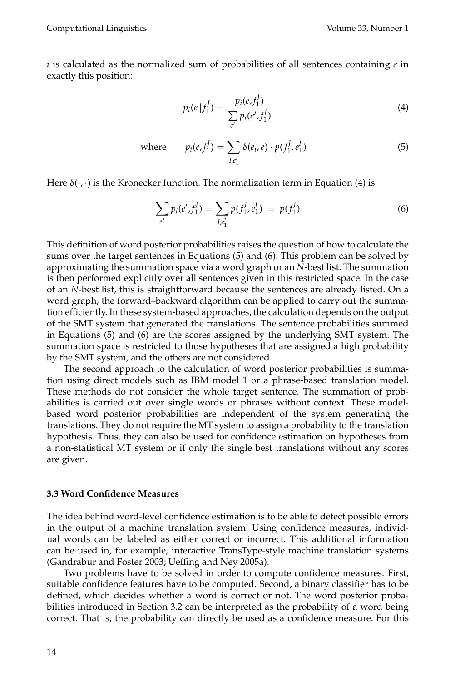*i* is calculated as the normalized sum of probabilities of all sentences containing *e* in exactly this position:

$$
p_i(e \mid f_1^J) = \frac{p_i(e, f_1^J)}{\sum_{e'} p_i(e', f_1^J)}
$$
(4)

where 
$$
p_i(e, f_1^f) = \sum_{I, e_1^f} \delta(e_i, e) \cdot p(f_1^f, e_1^I)
$$
 (5)

Here  $\delta(\cdot, \cdot)$  is the Kronecker function. The normalization term in Equation (4) is

$$
\sum_{e'} p_i(e', f_1^f) = \sum_{I, e_1^f} p(f_1^f, e_1^f) = p(f_1^f)
$$
\n(6)

This definition of word posterior probabilities raises the question of how to calculate the sums over the target sentences in Equations (5) and (6). This problem can be solved by approximating the summation space via a word graph or an *N*-best list. The summation is then performed explicitly over all sentences given in this restricted space. In the case of an *N*-best list, this is straightforward because the sentences are already listed. On a word graph, the forward–backward algorithm can be applied to carry out the summation efficiently. In these system-based approaches, the calculation depends on the output of the SMT system that generated the translations. The sentence probabilities summed in Equations (5) and (6) are the scores assigned by the underlying SMT system. The summation space is restricted to those hypotheses that are assigned a high probability by the SMT system, and the others are not considered.

The second approach to the calculation of word posterior probabilities is summation using direct models such as IBM model 1 or a phrase-based translation model. These methods do not consider the whole target sentence. The summation of probabilities is carried out over single words or phrases without context. These modelbased word posterior probabilities are independent of the system generating the translations. They do not require the MT system to assign a probability to the translation hypothesis. Thus, they can also be used for confidence estimation on hypotheses from a non-statistical MT system or if only the single best translations without any scores are given.

#### **3.3 Word Confidence Measures**

The idea behind word-level confidence estimation is to be able to detect possible errors in the output of a machine translation system. Using confidence measures, individual words can be labeled as either correct or incorrect. This additional information can be used in, for example, interactive TransType-style machine translation systems (Gandrabur and Foster 2003; Ueffing and Ney 2005a).

Two problems have to be solved in order to compute confidence measures. First, suitable confidence features have to be computed. Second, a binary classifier has to be defined, which decides whether a word is correct or not. The word posterior probabilities introduced in Section 3.2 can be interpreted as the probability of a word being correct. That is, the probability can directly be used as a confidence measure. For this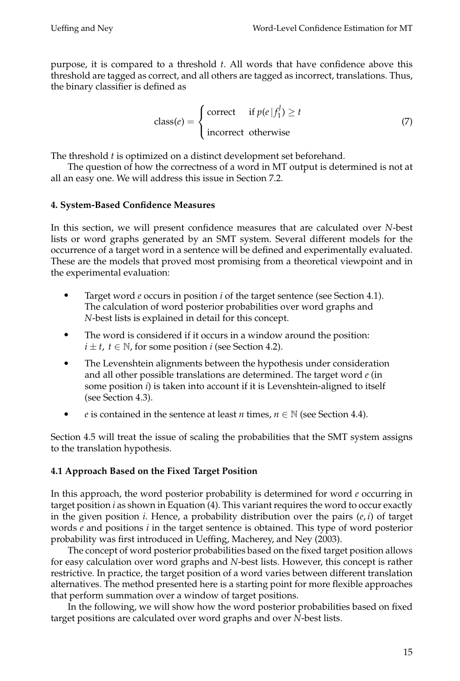purpose, it is compared to a threshold *t*. All words that have confidence above this threshold are tagged as correct, and all others are tagged as incorrect, translations. Thus, the binary classifier is defined as

$$
class(e) = \begin{cases} \text{correct} & \text{if } p(e \mid f_1^I) \ge t \\ \text{incorrect otherwise} \end{cases} \tag{7}
$$

The threshold *t* is optimized on a distinct development set beforehand.

The question of how the correctness of a word in MT output is determined is not at all an easy one. We will address this issue in Section 7.2.

# **4. System-Based Confidence Measures**

In this section, we will present confidence measures that are calculated over *N*-best lists or word graphs generated by an SMT system. Several different models for the occurrence of a target word in a sentence will be defined and experimentally evaluated. These are the models that proved most promising from a theoretical viewpoint and in the experimental evaluation:

- Target word *e* occurs in position *i* of the target sentence (see Section 4.1). The calculation of word posterior probabilities over word graphs and *N*-best lists is explained in detail for this concept.
- The word is considered if it occurs in a window around the position:  $i \pm t$ ,  $t \in \mathbb{N}$ , for some position *i* (see Section 4.2).
- The Levenshtein alignments between the hypothesis under consideration and all other possible translations are determined. The target word *e* (in some position *i*) is taken into account if it is Levenshtein-aligned to itself (see Section 4.3).
- *e* is contained in the sentence at least *n* times,  $n \in \mathbb{N}$  (see Section 4.4).

Section 4.5 will treat the issue of scaling the probabilities that the SMT system assigns to the translation hypothesis.

# **4.1 Approach Based on the Fixed Target Position**

In this approach, the word posterior probability is determined for word *e* occurring in target position *i* as shown in Equation (4). This variant requires the word to occur exactly in the given position *i*. Hence, a probability distribution over the pairs (*e*, *i*) of target words *e* and positions *i* in the target sentence is obtained. This type of word posterior probability was first introduced in Ueffing, Macherey, and Ney (2003).

The concept of word posterior probabilities based on the fixed target position allows for easy calculation over word graphs and *N*-best lists. However, this concept is rather restrictive. In practice, the target position of a word varies between different translation alternatives. The method presented here is a starting point for more flexible approaches that perform summation over a window of target positions.

In the following, we will show how the word posterior probabilities based on fixed target positions are calculated over word graphs and over *N*-best lists.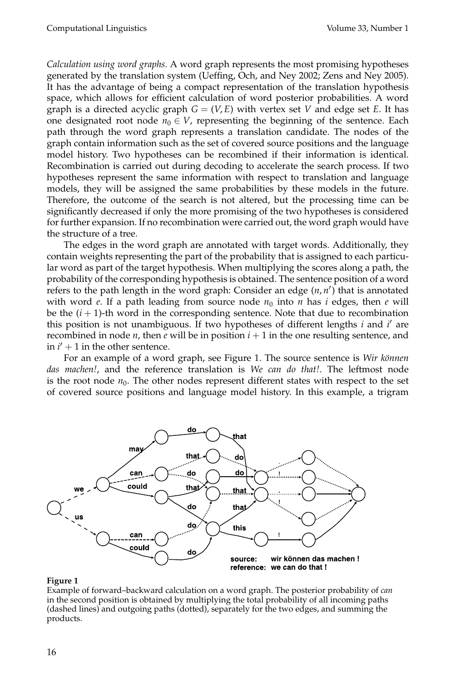*Calculation using word graphs.* A word graph represents the most promising hypotheses generated by the translation system (Ueffing, Och, and Ney 2002; Zens and Ney 2005). It has the advantage of being a compact representation of the translation hypothesis space, which allows for efficient calculation of word posterior probabilities. A word graph is a directed acyclic graph  $G = (V, E)$  with vertex set *V* and edge set *E*. It has one designated root node  $n_0 \in V$ , representing the beginning of the sentence. Each path through the word graph represents a translation candidate. The nodes of the graph contain information such as the set of covered source positions and the language model history. Two hypotheses can be recombined if their information is identical. Recombination is carried out during decoding to accelerate the search process. If two hypotheses represent the same information with respect to translation and language models, they will be assigned the same probabilities by these models in the future. Therefore, the outcome of the search is not altered, but the processing time can be significantly decreased if only the more promising of the two hypotheses is considered for further expansion. If no recombination were carried out, the word graph would have the structure of a tree.

The edges in the word graph are annotated with target words. Additionally, they contain weights representing the part of the probability that is assigned to each particular word as part of the target hypothesis. When multiplying the scores along a path, the probability of the corresponding hypothesis is obtained. The sentence position of a word refers to the path length in the word graph: Consider an edge  $(n, n')$  that is annotated with word  $e$ . If a path leading from source node  $n_0$  into  $n$  has  $i$  edges, then  $e$  will be the  $(i + 1)$ -th word in the corresponding sentence. Note that due to recombination this position is not unambiguous. If two hypotheses of different lengths *i* and *i'* are recombined in node  $n$ , then  $e$  will be in position  $i + 1$  in the one resulting sentence, and in  $i' + 1$  in the other sentence.

For an example of a word graph, see Figure 1. The source sentence is *Wir können das machen!*, and the reference translation is *We can do that!*. The leftmost node is the root node  $n_0$ . The other nodes represent different states with respect to the set of covered source positions and language model history. In this example, a trigram



#### **Figure 1**

Example of forward–backward calculation on a word graph. The posterior probability of *can* in the second position is obtained by multiplying the total probability of all incoming paths (dashed lines) and outgoing paths (dotted), separately for the two edges, and summing the products.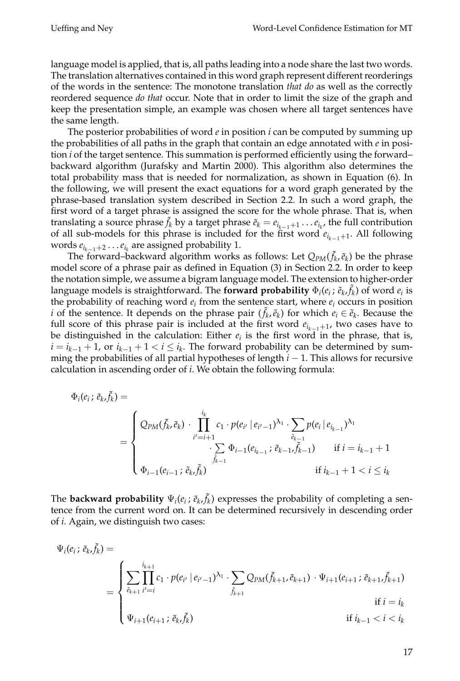language model is applied, that is, all paths leading into a node share the last two words. The translation alternatives contained in this word graph represent different reorderings of the words in the sentence: The monotone translation *that do* as well as the correctly reordered sequence *do that* occur. Note that in order to limit the size of the graph and keep the presentation simple, an example was chosen where all target sentences have the same length.

The posterior probabilities of word *e* in position *i* can be computed by summing up the probabilities of all paths in the graph that contain an edge annotated with *e* in position *i* of the target sentence. This summation is performed efficiently using the forward– backward algorithm (Jurafsky and Martin 2000). This algorithm also determines the total probability mass that is needed for normalization, as shown in Equation (6). In the following, we will present the exact equations for a word graph generated by the phrase-based translation system described in Section 2.2. In such a word graph, the first word of a target phrase is assigned the score for the whole phrase. That is, when translating a source phrase  $\tilde{f}_k$  by a target phrase  $\tilde{e}_k = e_{i_{k-1}+1} \dots e_{i_k}$ , the full contribution of all sub-models for this phrase is included for the first word *eik*−1<sup>+</sup>1. All following words  $e_{i_{k-1}+2} \ldots e_{i_k}$  are assigned probability 1.

The forward–backward algorithm works as follows: Let  $Q_{PM}(\tilde{f}_k, \tilde{e}_k)$  be the phrase model score of a phrase pair as defined in Equation (3) in Section 2.2. In order to keep the notation simple, we assume a bigram language model. The extension to higher-order language models is straightforward. The **forward probability**  $\Phi_i(e_i\,;\, \tilde{e}_k, \tilde{f}_k)$  of word  $e_i$  is the probability of reaching word  $e_i$  from the sentence start, where  $e_i$  occurs in position *i* of the sentence. It depends on the phrase pair  $(\tilde{f}_k, \tilde{e}_k)$  for which  $e_i \in \tilde{e}_k$ . Because the full score of this phrase pair is included at the first word  $e_{i_{k-1}+1}$ , two cases have to be distinguished in the calculation: Either  $e_i$  is the first word in the phrase, that is, *i* =  $i_{k-1}$  + 1, or  $i_{k-1}$  + 1 < *i* ≤  $i_k$ . The forward probability can be determined by summing the probabilities of all partial hypotheses of length *i* − 1. This allows for recursive calculation in ascending order of *i*. We obtain the following formula:

$$
\Phi_{i}(e_{i}; \tilde{e}_{k}, \tilde{f}_{k}) = \n\begin{cases}\nQ_{PM}(\tilde{f}_{k}, \tilde{e}_{k}) \cdot \prod_{i'=i+1}^{i_{k}} c_{1} \cdot p(e_{i'} | e_{i'-1})^{\lambda_{1}} \cdot \sum_{\tilde{e}_{k-1}} p(e_{i} | e_{i_{k-1}})^{\lambda_{1}} \\
\cdot \sum_{\tilde{f}_{k-1}} \Phi_{i-1}(e_{i_{k-1}}; \tilde{e}_{k-1}, \tilde{f}_{k-1}) \quad \text{if } i = i_{k-1} + 1 \\
\Phi_{i-1}(e_{i-1}; \tilde{e}_{k}, \tilde{f}_{k}) \quad \text{if } i_{k-1} + 1 < i \leq i_{k}\n\end{cases}
$$

The **backward probability**  $\Psi_i(e_i; \tilde{e}_k, \tilde{f}_k)$  expresses the probability of completing a sentence from the current word on. It can be determined recursively in descending order of *i*. Again, we distinguish two cases:

$$
\Psi_{i}(e_{i}; \tilde{e}_{k}, \tilde{f}_{k}) =
$$
\n
$$
= \begin{cases}\n\sum_{\tilde{e}_{k+1}} \prod_{i'=i}^{i_{k+1}} c_{1} \cdot p(e_{i'} | e_{i'-1})^{\lambda_{1}} \cdot \sum_{\tilde{f}_{k+1}} Q_{PM}(\tilde{f}_{k+1}, \tilde{e}_{k+1}) \cdot \Psi_{i+1}(e_{i+1}; \tilde{e}_{k+1}, \tilde{f}_{k+1}) \\
\vdots \\
\Psi_{i+1}(e_{i+1}; \tilde{e}_{k}, \tilde{f}_{k})\n\end{cases}
$$
if  $i = i_{k}$   
if  $i_{k-1} < i < i_{k}$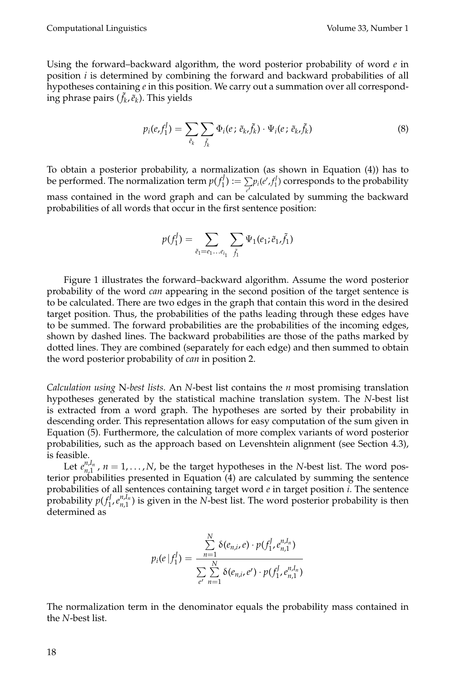Using the forward–backward algorithm, the word posterior probability of word *e* in position *i* is determined by combining the forward and backward probabilities of all hypotheses containing *e* in this position. We carry out a summation over all corresponding phrase pairs  $(\tilde{f}_k, \tilde{e}_k)$ . This yields

$$
p_i(e, f_1^J) = \sum_{\tilde{e}_k} \sum_{\tilde{f}_k} \Phi_i(e; \tilde{e}_k, \tilde{f}_k) \cdot \Psi_i(e; \tilde{e}_k, \tilde{f}_k)
$$
(8)

To obtain a posterior probability, a normalization (as shown in Equation (4)) has to be performed. The normalization term  $p(f_1^I) := \sum_{e'} p_i(e', f_1^I)$  corresponds to the probability mass contained in the word graph and can be calculated by summing the backward probabilities of all words that occur in the first sentence position:

$$
p(f_1^J) = \sum_{\tilde{e}_1 = e_1 \dots e_{i_1}} \sum_{\tilde{f}_1} \Psi_1(e_1; \tilde{e}_1, \tilde{f}_1)
$$

Figure 1 illustrates the forward–backward algorithm. Assume the word posterior probability of the word *can* appearing in the second position of the target sentence is to be calculated. There are two edges in the graph that contain this word in the desired target position. Thus, the probabilities of the paths leading through these edges have to be summed. The forward probabilities are the probabilities of the incoming edges, shown by dashed lines. The backward probabilities are those of the paths marked by dotted lines. They are combined (separately for each edge) and then summed to obtain the word posterior probability of *can* in position 2.

*Calculation using* N*-best lists.* An *N*-best list contains the *n* most promising translation hypotheses generated by the statistical machine translation system. The *N*-best list is extracted from a word graph. The hypotheses are sorted by their probability in descending order. This representation allows for easy computation of the sum given in Equation (5). Furthermore, the calculation of more complex variants of word posterior probabilities, such as the approach based on Levenshtein alignment (see Section 4.3), is feasible.

Let  $e_{n,1}^{n,I_n}$ ,  $n = 1, \ldots, N$ , be the target hypotheses in the *N*-best list. The word posterior probabilities presented in Equation (4) are calculated by summing the sentence probabilities of all sentences containing target word *e* in target position *i*. The sentence probability  $p(f_1^f, e_{n,1}^{n,I_n})$  is given in the *N*-best list. The word posterior probability is then determined as

$$
p_i(e|f_1^J) = \frac{\sum_{n=1}^N \delta(e_{n,i}, e) \cdot p(f_1^J, e_{n,1}^{n, I_n})}{\sum_{e'} \sum_{n=1}^N \delta(e_{n,i}, e') \cdot p(f_1^J, e_{n,1}^{n, I_n})}
$$

The normalization term in the denominator equals the probability mass contained in the *N*-best list.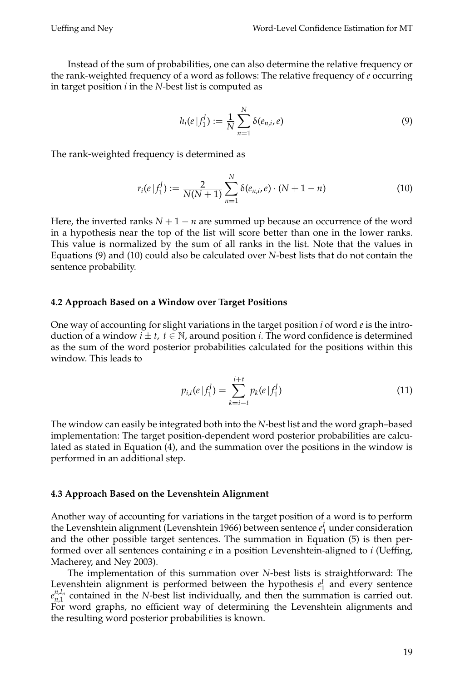Instead of the sum of probabilities, one can also determine the relative frequency or the rank-weighted frequency of a word as follows: The relative frequency of *e* occurring in target position *i* in the *N*-best list is computed as

$$
h_i(e|f_1^j) := \frac{1}{N} \sum_{n=1}^N \delta(e_{n,i}, e)
$$
\n(9)

The rank-weighted frequency is determined as

$$
r_i(e|f_1^I) := \frac{2}{N(N+1)} \sum_{n=1}^N \delta(e_{n,i}, e) \cdot (N+1-n)
$$
 (10)

Here, the inverted ranks  $N + 1 - n$  are summed up because an occurrence of the word in a hypothesis near the top of the list will score better than one in the lower ranks. This value is normalized by the sum of all ranks in the list. Note that the values in Equations (9) and (10) could also be calculated over *N*-best lists that do not contain the sentence probability.

# **4.2 Approach Based on a Window over Target Positions**

One way of accounting for slight variations in the target position *i* of word *e* is the introduction of a window  $i \pm t$ ,  $t \in \mathbb{N}$ , around position *i*. The word confidence is determined as the sum of the word posterior probabilities calculated for the positions within this window. This leads to

$$
p_{i,t}(e|f_1^J) = \sum_{k=i-t}^{i+t} p_k(e|f_1^J)
$$
\n(11)

The window can easily be integrated both into the *N*-best list and the word graph–based implementation: The target position-dependent word posterior probabilities are calculated as stated in Equation (4), and the summation over the positions in the window is performed in an additional step.

# **4.3 Approach Based on the Levenshtein Alignment**

Another way of accounting for variations in the target position of a word is to perform the Levenshtein alignment (Levenshtein 1966) between sentence *eI* <sup>1</sup> under consideration and the other possible target sentences. The summation in Equation (5) is then performed over all sentences containing *e* in a position Levenshtein-aligned to *i* (Ueffing, Macherey, and Ney 2003).

The implementation of this summation over *N*-best lists is straightforward: The Levenshtein alignment is performed between the hypothesis  $e_1^I$  and every sentence  $e_{n,1}^{n,I_n}$  contained in the *N*-best list individually, and then the summation is carried out. For word graphs, no efficient way of determining the Levenshtein alignments and the resulting word posterior probabilities is known.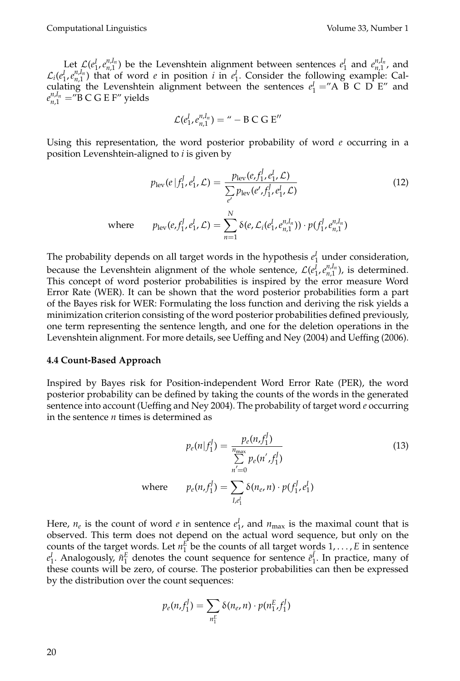Let  $\mathcal{L}(e_1^I, e_{n,1}^{n,I_n})$  be the Levenshtein alignment between sentences  $e_1^I$  and  $e_{n,1}^{n,I_n}$ , and  $\mathcal{L}_i(e_1^I, e_{n,1}^{n,I_n})$  that of word *e* in position *i* in  $e_1^I$ . Consider the following example: Calculating the Levenshtein alignment between the sentences  $e_1^I = A B C D E''$  and  $e_{n,1}^{n,I_n}$  = "B C G E F" yields

$$
\mathcal{L}(e_1^I, e_{n,1}^{n,I_n}) = \text{``}-\text{B} \text{C} \text{G} \text{E''}
$$

Using this representation, the word posterior probability of word *e* occurring in a position Levenshtein-aligned to *i* is given by

$$
p_{\text{lev}}(e \mid f_1^J, e_1^I, \mathcal{L}) = \frac{p_{\text{lev}}(e, f_1^J, e_1^I, \mathcal{L})}{\sum_{e'} p_{\text{lev}}(e', f_1^J, e_1^I, \mathcal{L})}
$$
(12)  
\ne 
$$
p_{\text{lev}}(e, f_1^J, e_1^I, \mathcal{L}) = \sum_{n=1}^N \delta(e, \mathcal{L}_i(e_1^I, e_{n,1}^{n, I_n})) \cdot p(f_1^J, e_{n,1}^{n, I_n})
$$

 $w$ here

The probability depends on all target words in the hypothesis  $e_1^I$  under consideration, because the Levenshtein alignment of the whole sentence,  $\mathcal{L}(e_1^I, e_{n,1}^{n,I_n})$ , is determined. This concept of word posterior probabilities is inspired by the error measure Word Error Rate (WER). It can be shown that the word posterior probabilities form a part of the Bayes risk for WER: Formulating the loss function and deriving the risk yields a minimization criterion consisting of the word posterior probabilities defined previously, one term representing the sentence length, and one for the deletion operations in the Levenshtein alignment. For more details, see Ueffing and Ney (2004) and Ueffing (2006).

#### **4.4 Count-Based Approach**

Inspired by Bayes risk for Position-independent Word Error Rate (PER), the word posterior probability can be defined by taking the counts of the words in the generated sentence into account (Ueffing and Ney 2004). The probability of target word *e* occurring in the sentence *n* times is determined as

$$
p_e(n|f_1^J) = \frac{p_e(n, f_1^J)}{\sum_{n'=0}^{n_{\text{max}}} p_e(n', f_1^J)}
$$
(13)  
where 
$$
p_e(n, f_1^J) = \sum_{I, e_1^I} \delta(n_e, n) \cdot p(f_1^J, e_1^I)
$$

Here,  $n_e$  is the count of word  $e$  in sentence  $e_1^I$ , and  $n_{\text{max}}$  is the maximal count that is observed. This term does not depend on the actual word sequence, but only on the counts of the target words. Let  $n_1^E$  be the counts of all target words  $1, \ldots, E$  in sentence  $e_1^I$ . Analogously,  $\tilde{n}_1^E$  denotes the count sequence for sentence  $\tilde{e}_1^{\tilde{I}}$ . In practice, many of these counts will be zero, of course. The posterior probabilities can then be expressed by the distribution over the count sequences:

$$
p_e(n, f_1^J) = \sum_{n_1^E} \delta(n_e, n) \cdot p(n_1^E, f_1^J)
$$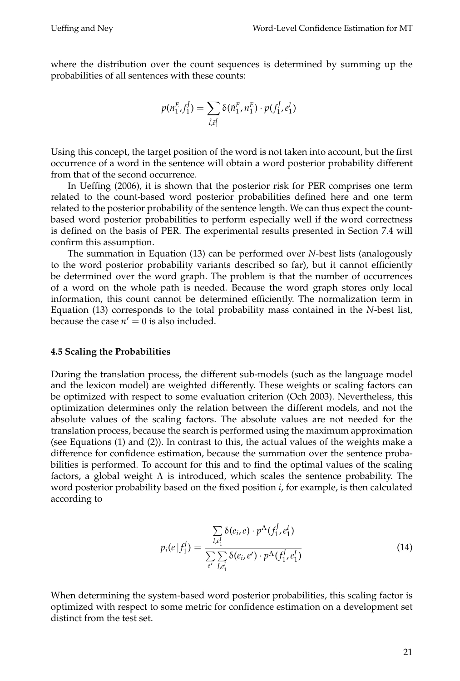where the distribution over the count sequences is determined by summing up the probabilities of all sentences with these counts:

$$
p(n_1^E, f_1^J) = \sum_{\tilde{I}, \tilde{e}_1^{\tilde{I}}} \delta(\tilde{n}_1^E, n_1^E) \cdot p(f_1^J, e_1^J)
$$

Using this concept, the target position of the word is not taken into account, but the first occurrence of a word in the sentence will obtain a word posterior probability different from that of the second occurrence.

In Ueffing (2006), it is shown that the posterior risk for PER comprises one term related to the count-based word posterior probabilities defined here and one term related to the posterior probability of the sentence length. We can thus expect the countbased word posterior probabilities to perform especially well if the word correctness is defined on the basis of PER. The experimental results presented in Section 7.4 will confirm this assumption.

The summation in Equation (13) can be performed over *N*-best lists (analogously to the word posterior probability variants described so far), but it cannot efficiently be determined over the word graph. The problem is that the number of occurrences of a word on the whole path is needed. Because the word graph stores only local information, this count cannot be determined efficiently. The normalization term in Equation (13) corresponds to the total probability mass contained in the *N*-best list, because the case  $n' = 0$  is also included.

### **4.5 Scaling the Probabilities**

During the translation process, the different sub-models (such as the language model and the lexicon model) are weighted differently. These weights or scaling factors can be optimized with respect to some evaluation criterion (Och 2003). Nevertheless, this optimization determines only the relation between the different models, and not the absolute values of the scaling factors. The absolute values are not needed for the translation process, because the search is performed using the maximum approximation (see Equations (1) and (2)). In contrast to this, the actual values of the weights make a difference for confidence estimation, because the summation over the sentence probabilities is performed. To account for this and to find the optimal values of the scaling factors, a global weight  $\Lambda$  is introduced, which scales the sentence probability. The word posterior probability based on the fixed position *i*, for example, is then calculated according to

$$
p_i(e|f_1^J) = \frac{\sum_{l,e_1^I} \delta(e_i, e) \cdot p^{\Lambda}(f_1^J, e_1^I)}{\sum_{e'} \sum_{l,e_1^I} \delta(e_i, e') \cdot p^{\Lambda}(f_1^J, e_1^I)}
$$
(14)

When determining the system-based word posterior probabilities, this scaling factor is optimized with respect to some metric for confidence estimation on a development set distinct from the test set.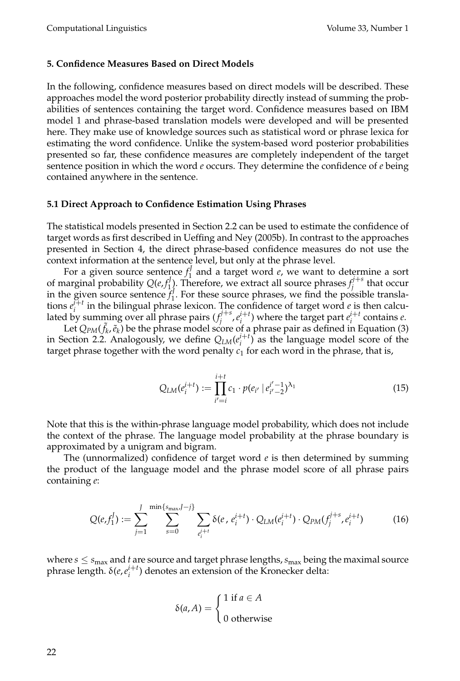### **5. Confidence Measures Based on Direct Models**

In the following, confidence measures based on direct models will be described. These approaches model the word posterior probability directly instead of summing the probabilities of sentences containing the target word. Confidence measures based on IBM model 1 and phrase-based translation models were developed and will be presented here. They make use of knowledge sources such as statistical word or phrase lexica for estimating the word confidence. Unlike the system-based word posterior probabilities presented so far, these confidence measures are completely independent of the target sentence position in which the word *e* occurs. They determine the confidence of *e* being contained anywhere in the sentence.

### **5.1 Direct Approach to Confidence Estimation Using Phrases**

The statistical models presented in Section 2.2 can be used to estimate the confidence of target words as first described in Ueffing and Ney (2005b). In contrast to the approaches presented in Section 4, the direct phrase-based confidence measures do not use the context information at the sentence level, but only at the phrase level.

For a given source sentence  $f_1^f$  and a target word *e*, we want to determine a sort of marginal probability  $Q(e, f_1^J)$ . Therefore, we extract all source phrases  $f_j^{j+s}$  that occur in the given source sentence  $f_1^J$ . For these source phrases, we find the possible translations  $e_i^{\vec{i}+t}$  in the bilingual phrase lexicon. The confidence of target word *e* is then calculated by summing over all phrase pairs  $(f_j^{j+s}, e_i^{i+t})$  where the target part  $e_i^{i+t}$  contains *e*.

Let  $Q_{PM}(\tilde{f}_k, \tilde{e}_k)$  be the phrase model score of a phrase pair as defined in Equation (3) in Section 2.2. Analogously, we define  $Q_{LM}(e_i^{i+t})$  as the language model score of the target phrase together with the word penalty  $c_1$  for each word in the phrase, that is,

$$
Q_{LM}(e_i^{i+t}) := \prod_{i'=i}^{i+t} c_1 \cdot p(e_{i'} | e_{i'-2}^{i'-1})^{\lambda_1}
$$
 (15)

Note that this is the within-phrase language model probability, which does not include the context of the phrase. The language model probability at the phrase boundary is approximated by a unigram and bigram.

The (unnormalized) confidence of target word *e* is then determined by summing the product of the language model and the phrase model score of all phrase pairs containing *e*:

$$
Q(e, f_1^J) := \sum_{j=1}^J \sum_{s=0}^{\min\{s_{\max},J-j\}} \sum_{e_i^{i+1}} \delta(e, e_i^{i+1}) \cdot Q_{LM}(e_i^{i+1}) \cdot Q_{PM}(f_j^{j+s}, e_i^{i+1}) \tag{16}
$$

where  $s \leq s_{\text{max}}$  and *t* are source and target phrase lengths,  $s_{\text{max}}$  being the maximal source phrase length.  $\delta(e, e_i^{i+t})$  denotes an extension of the Kronecker delta:

$$
\delta(a, A) = \begin{cases} 1 \text{ if } a \in A \\ 0 \text{ otherwise} \end{cases}
$$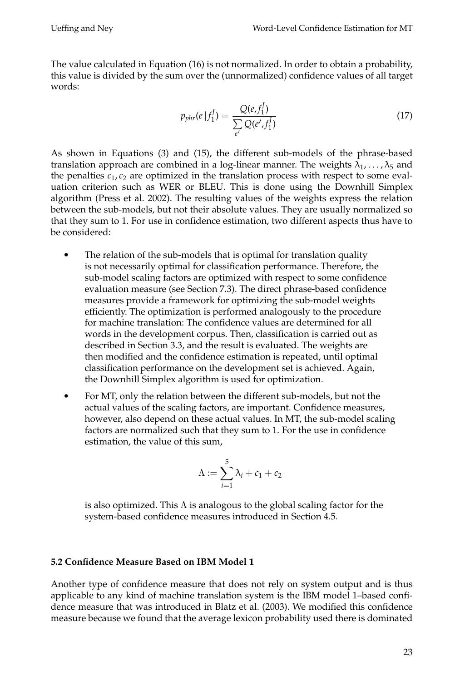The value calculated in Equation (16) is not normalized. In order to obtain a probability, this value is divided by the sum over the (unnormalized) confidence values of all target words:

$$
p_{\text{phr}}(e \, | f_1^I) = \frac{Q(e, f_1^I)}{\sum_{e'} Q(e', f_1^I)}
$$
\n(17)

As shown in Equations (3) and (15), the different sub-models of the phrase-based translation approach are combined in a log-linear manner. The weights  $\lambda_1, \ldots, \lambda_5$  and the penalties  $c_1, c_2$  are optimized in the translation process with respect to some evaluation criterion such as WER or BLEU. This is done using the Downhill Simplex algorithm (Press et al. 2002). The resulting values of the weights express the relation between the sub-models, but not their absolute values. They are usually normalized so that they sum to 1. For use in confidence estimation, two different aspects thus have to be considered:

- The relation of the sub-models that is optimal for translation quality is not necessarily optimal for classification performance. Therefore, the sub-model scaling factors are optimized with respect to some confidence evaluation measure (see Section 7.3). The direct phrase-based confidence measures provide a framework for optimizing the sub-model weights efficiently. The optimization is performed analogously to the procedure for machine translation: The confidence values are determined for all words in the development corpus. Then, classification is carried out as described in Section 3.3, and the result is evaluated. The weights are then modified and the confidence estimation is repeated, until optimal classification performance on the development set is achieved. Again, the Downhill Simplex algorithm is used for optimization.
- For MT, only the relation between the different sub-models, but not the actual values of the scaling factors, are important. Confidence measures, however, also depend on these actual values. In MT, the sub-model scaling factors are normalized such that they sum to 1. For the use in confidence estimation, the value of this sum,

$$
\Lambda := \sum_{i=1}^{5} \lambda_i + c_1 + c_2
$$

is also optimized. This  $\Lambda$  is analogous to the global scaling factor for the system-based confidence measures introduced in Section 4.5.

### **5.2 Confidence Measure Based on IBM Model 1**

Another type of confidence measure that does not rely on system output and is thus applicable to any kind of machine translation system is the IBM model 1–based confidence measure that was introduced in Blatz et al. (2003). We modified this confidence measure because we found that the average lexicon probability used there is dominated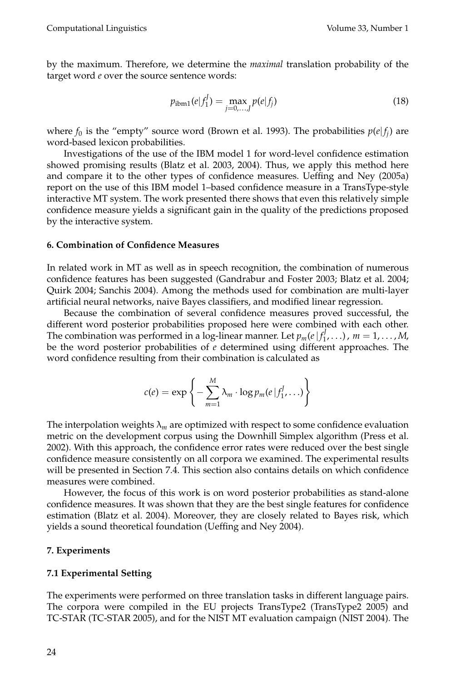by the maximum. Therefore, we determine the *maximal* translation probability of the target word *e* over the source sentence words:

$$
p_{\text{ibm1}}(e|f_1^J) = \max_{j=0,\dots,J} p(e|f_j)
$$
\n(18)

where  $f_0$  is the "empty" source word (Brown et al. 1993). The probabilities  $p(e|f_i)$  are word-based lexicon probabilities.

Investigations of the use of the IBM model 1 for word-level confidence estimation showed promising results (Blatz et al. 2003, 2004). Thus, we apply this method here and compare it to the other types of confidence measures. Ueffing and Ney (2005a) report on the use of this IBM model 1–based confidence measure in a TransType-style interactive MT system. The work presented there shows that even this relatively simple confidence measure yields a significant gain in the quality of the predictions proposed by the interactive system.

#### **6. Combination of Confidence Measures**

In related work in MT as well as in speech recognition, the combination of numerous confidence features has been suggested (Gandrabur and Foster 2003; Blatz et al. 2004; Quirk 2004; Sanchis 2004). Among the methods used for combination are multi-layer artificial neural networks, naive Bayes classifiers, and modified linear regression.

Because the combination of several confidence measures proved successful, the different word posterior probabilities proposed here were combined with each other. The combination was performed in a log-linear manner. Let  $p_m(e|f_1^f,...)$ ,  $m = 1,...,M$ , be the word posterior probabilities of *e* determined using different approaches. The word confidence resulting from their combination is calculated as

$$
c(e) = \exp\left\{-\sum_{m=1}^{M} \lambda_m \cdot \log p_m(e | f_1^J,\ldots)\right\}
$$

The interpolation weights  $\lambda_m$  are optimized with respect to some confidence evaluation metric on the development corpus using the Downhill Simplex algorithm (Press et al. 2002). With this approach, the confidence error rates were reduced over the best single confidence measure consistently on all corpora we examined. The experimental results will be presented in Section 7.4. This section also contains details on which confidence measures were combined.

However, the focus of this work is on word posterior probabilities as stand-alone confidence measures. It was shown that they are the best single features for confidence estimation (Blatz et al. 2004). Moreover, they are closely related to Bayes risk, which yields a sound theoretical foundation (Ueffing and Ney 2004).

### **7. Experiments**

### **7.1 Experimental Setting**

The experiments were performed on three translation tasks in different language pairs. The corpora were compiled in the EU projects TransType2 (TransType2 2005) and TC-STAR (TC-STAR 2005), and for the NIST MT evaluation campaign (NIST 2004). The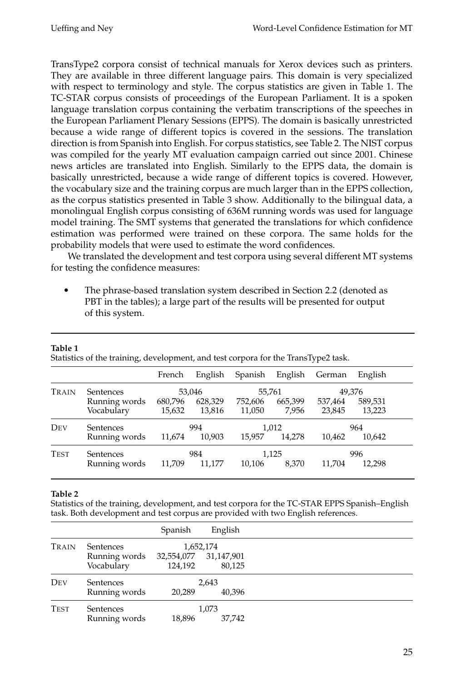TransType2 corpora consist of technical manuals for Xerox devices such as printers. They are available in three different language pairs. This domain is very specialized with respect to terminology and style. The corpus statistics are given in Table 1. The TC-STAR corpus consists of proceedings of the European Parliament. It is a spoken language translation corpus containing the verbatim transcriptions of the speeches in the European Parliament Plenary Sessions (EPPS). The domain is basically unrestricted because a wide range of different topics is covered in the sessions. The translation direction is from Spanish into English. For corpus statistics, see Table 2. The NIST corpus was compiled for the yearly MT evaluation campaign carried out since 2001. Chinese news articles are translated into English. Similarly to the EPPS data, the domain is basically unrestricted, because a wide range of different topics is covered. However, the vocabulary size and the training corpus are much larger than in the EPPS collection, as the corpus statistics presented in Table 3 show. Additionally to the bilingual data, a monolingual English corpus consisting of 636M running words was used for language model training. The SMT systems that generated the translations for which confidence estimation was performed were trained on these corpora. The same holds for the probability models that were used to estimate the word confidences.

We translated the development and test corpora using several different MT systems for testing the confidence measures:

 The phrase-based translation system described in Section 2.2 (denoted as PBT in the tables); a large part of the results will be presented for output of this system.

| $\alpha$ and $\alpha$ in the training, accelerately and test corporation and training per mone |         |         |               |         |                          |         |  |  |
|------------------------------------------------------------------------------------------------|---------|---------|---------------|---------|--------------------------|---------|--|--|
|                                                                                                | French  | English | Spanish       | English | German                   | English |  |  |
| Sentences                                                                                      |         |         |               |         |                          |         |  |  |
| Running words                                                                                  | 680,796 | 628,329 | 752,606       | 665,399 | 537,464                  | 589,531 |  |  |
| Vocabulary                                                                                     | 15,632  | 13,816  | 11,050        | 7.956   | 23,845                   | 13,223  |  |  |
| Sentences                                                                                      | 994     |         |               |         | 964                      |         |  |  |
| Running words                                                                                  | 11,674  | 10,903  | 15.957        | 14.278  | 10,462                   | 10,642  |  |  |
| Sentences                                                                                      |         |         |               |         |                          | 996     |  |  |
| Running words                                                                                  | 11,709  | 11,177  | 10,106        | 8,370   | 11,704                   | 12,298  |  |  |
|                                                                                                |         |         | 53,046<br>984 |         | 55,761<br>1.012<br>1,125 | 49,376  |  |  |

#### **Table 1**

Statistics of the training, development, and test corpora for the TransType2 task.

### **Table 2**

Statistics of the training, development, and test corpora for the TC-STAR EPPS Spanish–English task. Both development and test corpus are provided with two English references.

|              |                                          | Spanish                            | English              |  |
|--------------|------------------------------------------|------------------------------------|----------------------|--|
| <b>TRAIN</b> | Sentences<br>Running words<br>Vocabulary | 1,652,174<br>32,554,077<br>124,192 | 31,147,901<br>80.125 |  |
| DEV          | Sentences<br>Running words               | 20,289                             | 2,643<br>40,396      |  |
| <b>TEST</b>  | Sentences<br>Running words               | 18,896                             | 1,073<br>37,742      |  |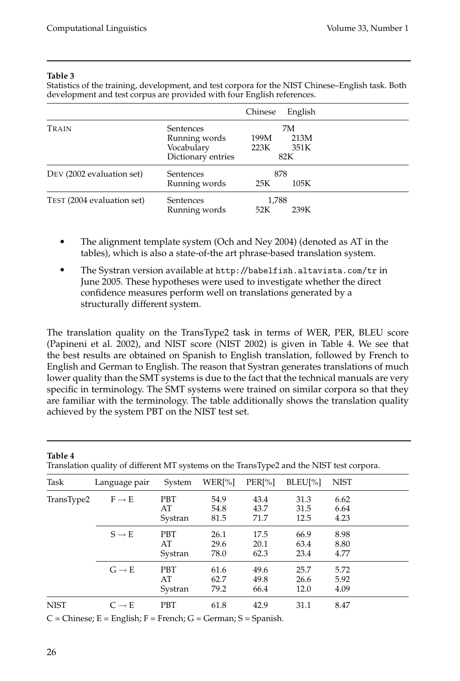#### **Table 3**

Statistics of the training, development, and test corpora for the NIST Chinese–English task. Both development and test corpus are provided with four English references.

|                            |                                                                | English<br>Chinese                        |  |
|----------------------------|----------------------------------------------------------------|-------------------------------------------|--|
| <b>TRAIN</b>               | Sentences<br>Running words<br>Vocabulary<br>Dictionary entries | 7M<br>199M<br>213M<br>223K<br>351K<br>82K |  |
| DEV (2002 evaluation set)  | Sentences<br>Running words                                     | 878<br>105K<br>25K                        |  |
| TEST (2004 evaluation set) | Sentences<br>Running words                                     | 1,788<br>239K<br>52K                      |  |

- The alignment template system (Och and Ney 2004) (denoted as AT in the tables), which is also a state-of-the art phrase-based translation system.
- The Systran version available at http://babelfish.altavista.com/tr in June 2005. These hypotheses were used to investigate whether the direct confidence measures perform well on translations generated by a structurally different system.

The translation quality on the TransType2 task in terms of WER, PER, BLEU score (Papineni et al. 2002), and NIST score (NIST 2002) is given in Table 4. We see that the best results are obtained on Spanish to English translation, followed by French to English and German to English. The reason that Systran generates translations of much lower quality than the SMT systems is due to the fact that the technical manuals are very specific in terminology. The SMT systems were trained on similar corpora so that they are familiar with the terminology. The table additionally shows the translation quality achieved by the system PBT on the NIST test set.

| Translation quality of different MT systems on the TransType2 and the NIST test corpora. |                   |                  |              |              |              |              |  |  |  |
|------------------------------------------------------------------------------------------|-------------------|------------------|--------------|--------------|--------------|--------------|--|--|--|
| Task                                                                                     | Language pair     | System           | $WER[\%]$    | PER[%]       | BLEU[%]      | <b>NIST</b>  |  |  |  |
| TransType2                                                                               | $F \rightarrow E$ | <b>PBT</b><br>AT | 54.9<br>54.8 | 43.4<br>43.7 | 31.3<br>31.5 | 6.62<br>6.64 |  |  |  |
|                                                                                          |                   | Systran          | 81.5         | 71.7         | 12.5         | 4.23         |  |  |  |
|                                                                                          | $S \rightarrow E$ | <b>PBT</b><br>AT | 26.1<br>29.6 | 17.5<br>20.1 | 66.9<br>63.4 | 8.98<br>8.80 |  |  |  |
|                                                                                          |                   | Systran          | 78.0         | 62.3         | 23.4         | 4.77         |  |  |  |
|                                                                                          | $G \rightarrow E$ | <b>PBT</b><br>AT | 61.6<br>62.7 | 49.6<br>49.8 | 25.7<br>26.6 | 5.72<br>5.92 |  |  |  |
|                                                                                          |                   | Systran          | 79.2         | 66.4         | 12.0         | 4.09         |  |  |  |
| <b>NIST</b>                                                                              | $C \rightarrow E$ | <b>PBT</b>       | 61.8         | 42.9         | 31.1         | 8.47         |  |  |  |

 $C =$ Chinese;  $E =$  English;  $F =$  French;  $G =$  German;  $S =$  Spanish.

**Table 4**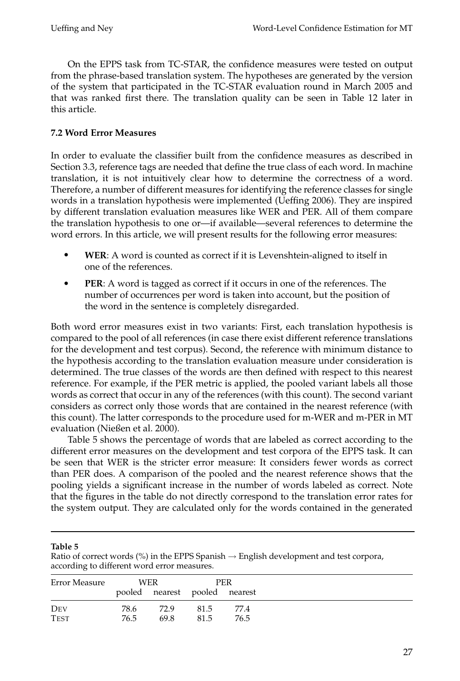On the EPPS task from TC-STAR, the confidence measures were tested on output from the phrase-based translation system. The hypotheses are generated by the version of the system that participated in the TC-STAR evaluation round in March 2005 and that was ranked first there. The translation quality can be seen in Table 12 later in this article.

# **7.2 Word Error Measures**

In order to evaluate the classifier built from the confidence measures as described in Section 3.3, reference tags are needed that define the true class of each word. In machine translation, it is not intuitively clear how to determine the correctness of a word. Therefore, a number of different measures for identifying the reference classes for single words in a translation hypothesis were implemented (Ueffing 2006). They are inspired by different translation evaluation measures like WER and PER. All of them compare the translation hypothesis to one or—if available—several references to determine the word errors. In this article, we will present results for the following error measures:

- **WER**: A word is counted as correct if it is Levenshtein-aligned to itself in one of the references.
- **PER**: A word is tagged as correct if it occurs in one of the references. The number of occurrences per word is taken into account, but the position of the word in the sentence is completely disregarded.

Both word error measures exist in two variants: First, each translation hypothesis is compared to the pool of all references (in case there exist different reference translations for the development and test corpus). Second, the reference with minimum distance to the hypothesis according to the translation evaluation measure under consideration is determined. The true classes of the words are then defined with respect to this nearest reference. For example, if the PER metric is applied, the pooled variant labels all those words as correct that occur in any of the references (with this count). The second variant considers as correct only those words that are contained in the nearest reference (with this count). The latter corresponds to the procedure used for m-WER and m-PER in MT evaluation (Nießen et al. 2000).

Table 5 shows the percentage of words that are labeled as correct according to the different error measures on the development and test corpora of the EPPS task. It can be seen that WER is the stricter error measure: It considers fewer words as correct than PER does. A comparison of the pooled and the nearest reference shows that the pooling yields a significant increase in the number of words labeled as correct. Note that the figures in the table do not directly correspond to the translation error rates for the system output. They are calculated only for the words contained in the generated

### **Table 5**

Ratio of correct words (%) in the EPPS Spanish  $\rightarrow$  English development and test corpora, according to different word error measures.

| Error Measure | WER  |                               | <b>PER</b> |      |
|---------------|------|-------------------------------|------------|------|
|               |      | pooled nearest pooled nearest |            |      |
| DEV           | 78.6 | 72.9                          | 81.5       | 77.4 |
| <b>TEST</b>   | 76.5 | 69.8                          | 81.5       | 76.5 |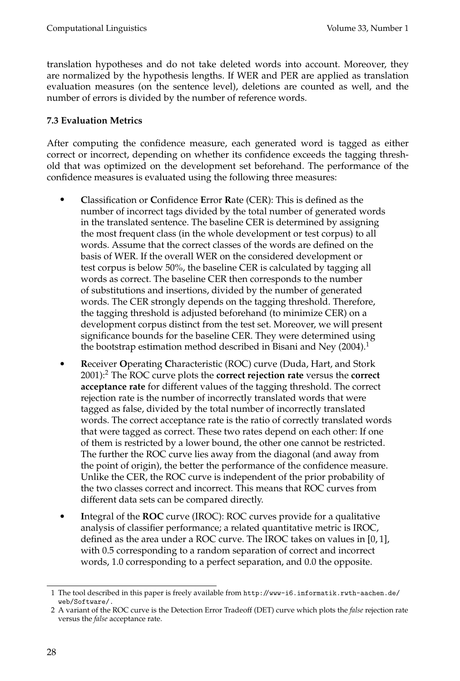translation hypotheses and do not take deleted words into account. Moreover, they are normalized by the hypothesis lengths. If WER and PER are applied as translation evaluation measures (on the sentence level), deletions are counted as well, and the number of errors is divided by the number of reference words.

# **7.3 Evaluation Metrics**

After computing the confidence measure, each generated word is tagged as either correct or incorrect, depending on whether its confidence exceeds the tagging threshold that was optimized on the development set beforehand. The performance of the confidence measures is evaluated using the following three measures:

- **C**lassification or **C**onfidence **E**rror **R**ate (CER): This is defined as the number of incorrect tags divided by the total number of generated words in the translated sentence. The baseline CER is determined by assigning the most frequent class (in the whole development or test corpus) to all words. Assume that the correct classes of the words are defined on the basis of WER. If the overall WER on the considered development or test corpus is below 50%, the baseline CER is calculated by tagging all words as correct. The baseline CER then corresponds to the number of substitutions and insertions, divided by the number of generated words. The CER strongly depends on the tagging threshold. Therefore, the tagging threshold is adjusted beforehand (to minimize CER) on a development corpus distinct from the test set. Moreover, we will present significance bounds for the baseline CER. They were determined using the bootstrap estimation method described in Bisani and Ney  $(2004).$ <sup>1</sup>
- **R**eceiver **O**perating **C**haracteristic (ROC) curve (Duda, Hart, and Stork 2001):<sup>2</sup> The ROC curve plots the **correct rejection rate** versus the **correct acceptance rate** for different values of the tagging threshold. The correct rejection rate is the number of incorrectly translated words that were tagged as false, divided by the total number of incorrectly translated words. The correct acceptance rate is the ratio of correctly translated words that were tagged as correct. These two rates depend on each other: If one of them is restricted by a lower bound, the other one cannot be restricted. The further the ROC curve lies away from the diagonal (and away from the point of origin), the better the performance of the confidence measure. Unlike the CER, the ROC curve is independent of the prior probability of the two classes correct and incorrect. This means that ROC curves from different data sets can be compared directly.
- **I**ntegral of the **ROC** curve (IROC): ROC curves provide for a qualitative analysis of classifier performance; a related quantitative metric is IROC, defined as the area under a ROC curve. The IROC takes on values in [0, 1], with 0.5 corresponding to a random separation of correct and incorrect words, 1.0 corresponding to a perfect separation, and 0.0 the opposite.

<sup>1</sup> The tool described in this paper is freely available from http://www-i6.informatik.rwth-aachen.de/ web/Software/.

<sup>2</sup> A variant of the ROC curve is the Detection Error Tradeoff (DET) curve which plots the *false* rejection rate versus the *false* acceptance rate.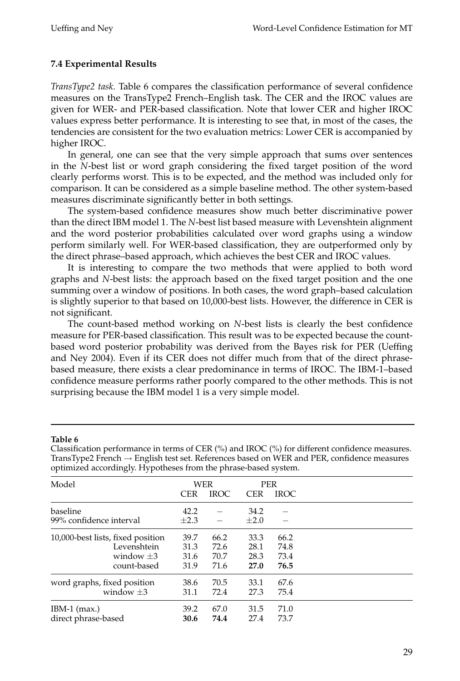# **7.4 Experimental Results**

*TransType2 task.* Table 6 compares the classification performance of several confidence measures on the TransType2 French–English task. The CER and the IROC values are given for WER- and PER-based classification. Note that lower CER and higher IROC values express better performance. It is interesting to see that, in most of the cases, the tendencies are consistent for the two evaluation metrics: Lower CER is accompanied by higher IROC.

In general, one can see that the very simple approach that sums over sentences in the *N*-best list or word graph considering the fixed target position of the word clearly performs worst. This is to be expected, and the method was included only for comparison. It can be considered as a simple baseline method. The other system-based measures discriminate significantly better in both settings.

The system-based confidence measures show much better discriminative power than the direct IBM model 1. The *N*-best list based measure with Levenshtein alignment and the word posterior probabilities calculated over word graphs using a window perform similarly well. For WER-based classification, they are outperformed only by the direct phrase–based approach, which achieves the best CER and IROC values.

It is interesting to compare the two methods that were applied to both word graphs and *N*-best lists: the approach based on the fixed target position and the one summing over a window of positions. In both cases, the word graph–based calculation is slightly superior to that based on 10,000-best lists. However, the difference in CER is not significant.

The count-based method working on *N*-best lists is clearly the best confidence measure for PER-based classification. This result was to be expected because the countbased word posterior probability was derived from the Bayes risk for PER (Ueffing and Ney 2004). Even if its CER does not differ much from that of the direct phrasebased measure, there exists a clear predominance in terms of IROC. The IBM-1–based confidence measure performs rather poorly compared to the other methods. This is not surprising because the IBM model 1 is a very simple model.

### **Table 6**

| Model                             | WER        |             | <b>PER</b> |             |
|-----------------------------------|------------|-------------|------------|-------------|
|                                   | <b>CER</b> | <b>IROC</b> | <b>CER</b> | <b>IROC</b> |
| baseline                          | 42.2       |             | 34.2       |             |
| 99% confidence interval           | $\pm 2.3$  |             | $\pm 2.0$  |             |
| 10,000-best lists, fixed position | 39.7       | 66.2        | 33.3       | 66.2        |
| Levenshtein                       | 31.3       | 72.6        | 28.1       | 74.8        |
| window $\pm 3$                    | 31.6       | 70.7        | 28.3       | 73.4        |
| count-based                       | 31.9       | 71.6        | 27.0       | 76.5        |
| word graphs, fixed position       | 38.6       | 70.5        | 33.1       | 67.6        |
| window $\pm 3$                    | 31.1       | 72.4        | 27.3       | 75.4        |
| $IBM-1$ (max.)                    | 39.2       | 67.0        | 31.5       | 71.0        |
| direct phrase-based               | 30.6       | 74.4        | 27.4       | 73.7        |

Classification performance in terms of CER (%) and IROC (%) for different confidence measures. TransType2 French  $\rightarrow$  English test set. References based on WER and PER, confidence measures optimized accordingly. Hypotheses from the phrase-based system.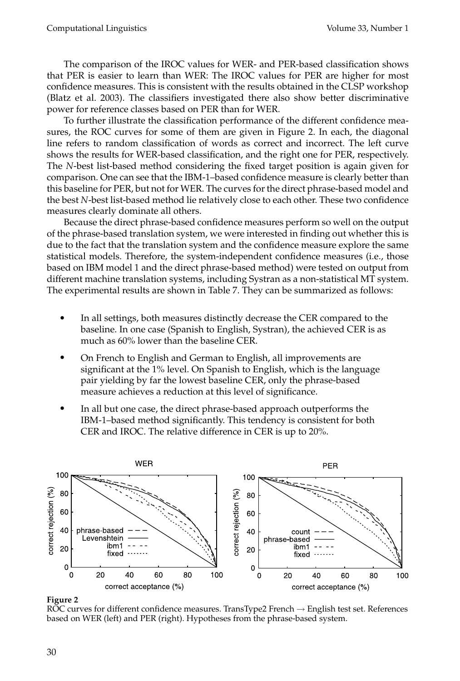The comparison of the IROC values for WER- and PER-based classification shows that PER is easier to learn than WER: The IROC values for PER are higher for most confidence measures. This is consistent with the results obtained in the CLSP workshop (Blatz et al. 2003). The classifiers investigated there also show better discriminative power for reference classes based on PER than for WER.

To further illustrate the classification performance of the different confidence measures, the ROC curves for some of them are given in Figure 2. In each, the diagonal line refers to random classification of words as correct and incorrect. The left curve shows the results for WER-based classification, and the right one for PER, respectively. The *N*-best list-based method considering the fixed target position is again given for comparison. One can see that the IBM-1–based confidence measure is clearly better than this baseline for PER, but not for WER. The curves for the direct phrase-based model and the best *N*-best list-based method lie relatively close to each other. These two confidence measures clearly dominate all others.

Because the direct phrase-based confidence measures perform so well on the output of the phrase-based translation system, we were interested in finding out whether this is due to the fact that the translation system and the confidence measure explore the same statistical models. Therefore, the system-independent confidence measures (i.e., those based on IBM model 1 and the direct phrase-based method) were tested on output from different machine translation systems, including Systran as a non-statistical MT system. The experimental results are shown in Table 7. They can be summarized as follows:

- In all settings, both measures distinctly decrease the CER compared to the baseline. In one case (Spanish to English, Systran), the achieved CER is as much as 60% lower than the baseline CER.
- On French to English and German to English, all improvements are significant at the 1% level. On Spanish to English, which is the language pair yielding by far the lowest baseline CER, only the phrase-based measure achieves a reduction at this level of significance.
- In all but one case, the direct phrase-based approach outperforms the IBM-1–based method significantly. This tendency is consistent for both CER and IROC. The relative difference in CER is up to 20%.



#### **Figure 2**

ROC curves for different confidence measures. TransType2 French → English test set. References based on WER (left) and PER (right). Hypotheses from the phrase-based system.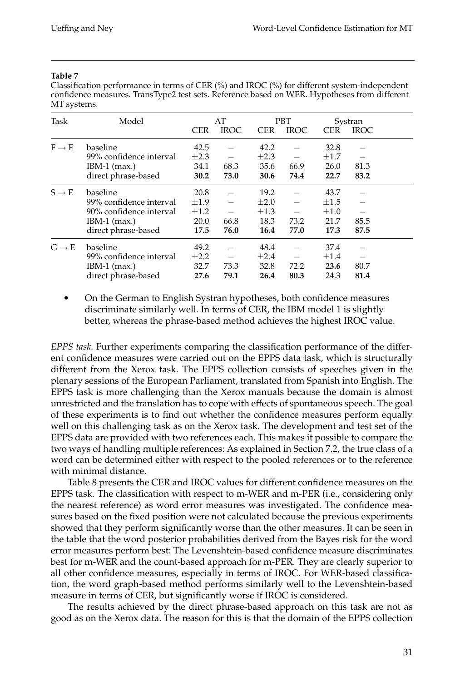### **Table 7**

Classification performance in terms of CER (%) and IROC (%) for different system-independent confidence measures. TransType2 test sets. Reference based on WER. Hypotheses from different MT systems.

| Task              | Model                                                                                                   | <b>CER</b>                                     | AT<br><b>IROC</b> | <b>CER</b>                                     | <b>PBT</b><br><b>IROC</b> | <b>CER</b>                                  | Systran<br><b>IROC</b> |  |
|-------------------|---------------------------------------------------------------------------------------------------------|------------------------------------------------|-------------------|------------------------------------------------|---------------------------|---------------------------------------------|------------------------|--|
| $F \rightarrow E$ | baseline<br>99% confidence interval<br>$IBM-1$ (max.)<br>direct phrase-based                            | 42.5<br>$\pm 2.3$<br>34.1<br>30.2              | 68.3<br>73.0      | 42.2<br>$\pm 2.3$<br>35.6<br>30.6              | 66.9<br>74.4              | 32.8<br>$\pm 1.7$<br>26.0<br>22.7           | 81.3<br>83.2           |  |
| $S \rightarrow E$ | baseline<br>99% confidence interval<br>90% confidence interval<br>$IBM-1$ (max.)<br>direct phrase-based | 20.8<br>$\pm 1.9$<br>$\pm 1.2$<br>20.0<br>17.5 | 66.8<br>76.0      | 19.2<br>$\pm 2.0$<br>$\pm 1.3$<br>18.3<br>16.4 | 73.2<br>77.0              | 43.7<br>$\pm 1.5$<br>$+1.0$<br>21.7<br>17.3 | 85.5<br>87.5           |  |
| $G \rightarrow E$ | baseline<br>99% confidence interval<br>IBM-1 $(max.)$<br>direct phrase-based                            | 49.2<br>$\pm 2.2$<br>32.7<br>27.6              | 73.3<br>79.1      | 48.4<br>$\pm 2.4$<br>32.8<br>26.4              | 72.2<br>80.3              | 37.4<br>$\pm 1.4$<br>23.6<br>24.3           | 80.7<br>81.4           |  |

 On the German to English Systran hypotheses, both confidence measures discriminate similarly well. In terms of CER, the IBM model 1 is slightly better, whereas the phrase-based method achieves the highest IROC value.

*EPPS task.* Further experiments comparing the classification performance of the different confidence measures were carried out on the EPPS data task, which is structurally different from the Xerox task. The EPPS collection consists of speeches given in the plenary sessions of the European Parliament, translated from Spanish into English. The EPPS task is more challenging than the Xerox manuals because the domain is almost unrestricted and the translation has to cope with effects of spontaneous speech. The goal of these experiments is to find out whether the confidence measures perform equally well on this challenging task as on the Xerox task. The development and test set of the EPPS data are provided with two references each. This makes it possible to compare the two ways of handling multiple references: As explained in Section 7.2, the true class of a word can be determined either with respect to the pooled references or to the reference with minimal distance.

Table 8 presents the CER and IROC values for different confidence measures on the EPPS task. The classification with respect to m-WER and m-PER (i.e., considering only the nearest reference) as word error measures was investigated. The confidence measures based on the fixed position were not calculated because the previous experiments showed that they perform significantly worse than the other measures. It can be seen in the table that the word posterior probabilities derived from the Bayes risk for the word error measures perform best: The Levenshtein-based confidence measure discriminates best for m-WER and the count-based approach for m-PER. They are clearly superior to all other confidence measures, especially in terms of IROC. For WER-based classification, the word graph-based method performs similarly well to the Levenshtein-based measure in terms of CER, but significantly worse if IROC is considered.

The results achieved by the direct phrase-based approach on this task are not as good as on the Xerox data. The reason for this is that the domain of the EPPS collection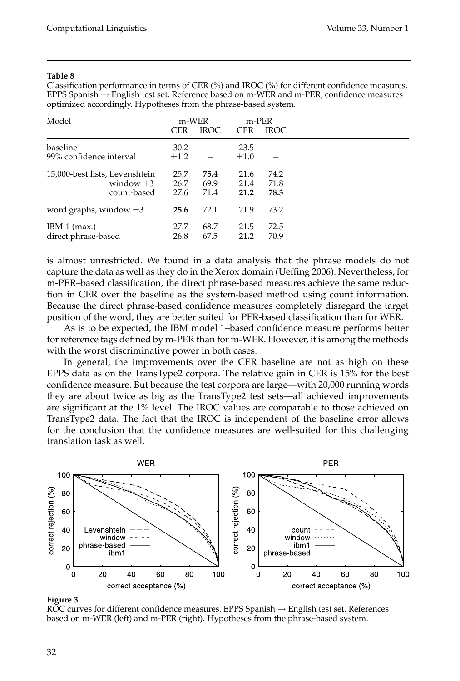#### **Table 8**

Classification performance in terms of CER (%) and IROC (%) for different confidence measures. EPPS Spanish  $\rightarrow$  English test set. Reference based on m-WER and m-PER, confidence measures optimized accordingly. Hypotheses from the phrase-based system.

| Model                                                           | <b>CER</b>           | m-WER<br><b>IROC</b> | m-PER<br><b>CER</b>  | <b>IROC</b>          |  |
|-----------------------------------------------------------------|----------------------|----------------------|----------------------|----------------------|--|
| baseline<br>99% confidence interval                             | 30.2<br>$\pm 1.2$    |                      | 23.5<br>$\pm 1.0$    |                      |  |
| 15,000-best lists, Levenshtein<br>window $\pm 3$<br>count-based | 25.7<br>26.7<br>27.6 | 75.4<br>69.9<br>71.4 | 21.6<br>21.4<br>21.2 | 74.2<br>71.8<br>78.3 |  |
| word graphs, window $\pm 3$                                     | 25.6                 | 72.1                 | 21.9                 | 73.2                 |  |
| $IBM-1$ (max.)<br>direct phrase-based                           | 27.7<br>26.8         | 68.7<br>67.5         | 21.5<br>21.2         | 72.5<br>70.9         |  |

is almost unrestricted. We found in a data analysis that the phrase models do not capture the data as well as they do in the Xerox domain (Ueffing 2006). Nevertheless, for m-PER–based classification, the direct phrase-based measures achieve the same reduction in CER over the baseline as the system-based method using count information. Because the direct phrase-based confidence measures completely disregard the target position of the word, they are better suited for PER-based classification than for WER.

As is to be expected, the IBM model 1–based confidence measure performs better for reference tags defined by m-PER than for m-WER. However, it is among the methods with the worst discriminative power in both cases.

In general, the improvements over the CER baseline are not as high on these EPPS data as on the TransType2 corpora. The relative gain in CER is 15% for the best confidence measure. But because the test corpora are large—with 20,000 running words they are about twice as big as the TransType2 test sets—all achieved improvements are significant at the 1% level. The IROC values are comparable to those achieved on TransType2 data. The fact that the IROC is independent of the baseline error allows for the conclusion that the confidence measures are well-suited for this challenging translation task as well.



#### **Figure 3**

ROC curves for different confidence measures. EPPS Spanish  $\rightarrow$  English test set. References based on m-WER (left) and m-PER (right). Hypotheses from the phrase-based system.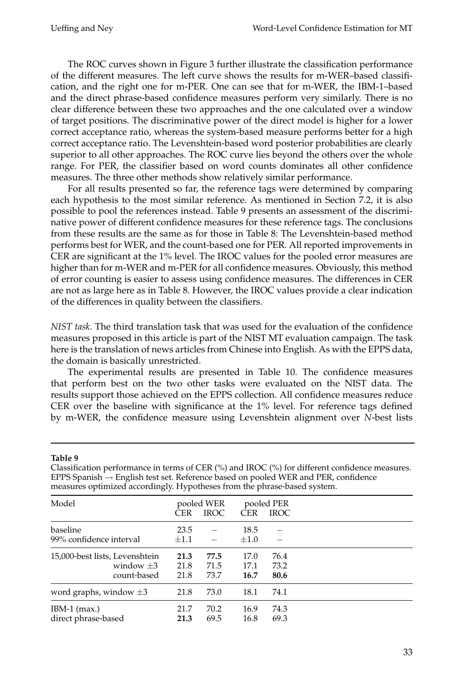The ROC curves shown in Figure 3 further illustrate the classification performance of the different measures. The left curve shows the results for m-WER–based classification, and the right one for m-PER. One can see that for m-WER, the IBM-1–based and the direct phrase-based confidence measures perform very similarly. There is no clear difference between these two approaches and the one calculated over a window of target positions. The discriminative power of the direct model is higher for a lower correct acceptance ratio, whereas the system-based measure performs better for a high correct acceptance ratio. The Levenshtein-based word posterior probabilities are clearly superior to all other approaches. The ROC curve lies beyond the others over the whole range. For PER, the classifier based on word counts dominates all other confidence measures. The three other methods show relatively similar performance.

For all results presented so far, the reference tags were determined by comparing each hypothesis to the most similar reference. As mentioned in Section 7.2, it is also possible to pool the references instead. Table 9 presents an assessment of the discriminative power of different confidence measures for these reference tags. The conclusions from these results are the same as for those in Table 8: The Levenshtein-based method performs best for WER, and the count-based one for PER. All reported improvements in CER are significant at the 1% level. The IROC values for the pooled error measures are higher than for m-WER and m-PER for all confidence measures. Obviously, this method of error counting is easier to assess using confidence measures. The differences in CER are not as large here as in Table 8. However, the IROC values provide a clear indication of the differences in quality between the classifiers.

*NIST task.* The third translation task that was used for the evaluation of the confidence measures proposed in this article is part of the NIST MT evaluation campaign. The task here is the translation of news articles from Chinese into English. As with the EPPS data, the domain is basically unrestricted.

The experimental results are presented in Table 10. The confidence measures that perform best on the two other tasks were evaluated on the NIST data. The results support those achieved on the EPPS collection. All confidence measures reduce CER over the baseline with significance at the 1% level. For reference tags defined by m-WER, the confidence measure using Levenshtein alignment over *N*-best lists

### **Table 9**

| Classification performance in terms of CER (%) and IROC (%) for different confidence measures. |
|------------------------------------------------------------------------------------------------|
| EPPS Spanish $\rightarrow$ English test set. Reference based on pooled WER and PER, confidence |
| measures optimized accordingly. Hypotheses from the phrase-based system.                       |

| Model                                                           | CER                  | pooled WER<br><b>IROC</b> | <b>CER</b>           | pooled PER<br><b>IROC</b> |  |
|-----------------------------------------------------------------|----------------------|---------------------------|----------------------|---------------------------|--|
| baseline<br>99% confidence interval                             | 23.5<br>$\pm 1.1$    |                           | 18.5<br>$+1.0$       |                           |  |
| 15,000-best lists, Levenshtein<br>window $\pm 3$<br>count-based | 21.3<br>21.8<br>21.8 | 77.5<br>71.5<br>73.7      | 17.0<br>17.1<br>16.7 | 76.4<br>73.2<br>80.6      |  |
| word graphs, window $\pm 3$                                     | 21.8                 | 73.0                      | 18.1                 | 74.1                      |  |
| IBM-1 $(max.)$<br>direct phrase-based                           | 21.7<br>21.3         | 70.2<br>69.5              | 16.9<br>16.8         | 74.3<br>69.3              |  |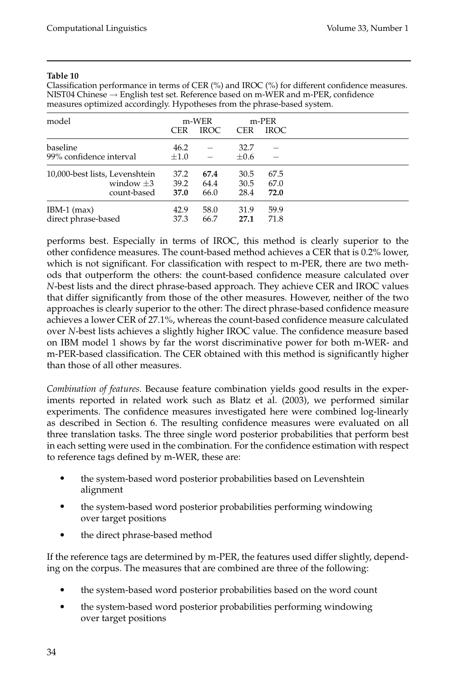### **Table 10**

Classification performance in terms of CER (%) and IROC (%) for different confidence measures. NIST04 Chinese → English test set. Reference based on m-WER and m-PER, confidence measures optimized accordingly. Hypotheses from the phrase-based system.

| model                               | <b>CER</b>        | m-WER<br><b>IROC</b> | <b>CER</b>        | m-PER<br><b>IROC</b> |
|-------------------------------------|-------------------|----------------------|-------------------|----------------------|
| baseline<br>99% confidence interval | 46.2<br>$\pm 1.0$ |                      | 32.7<br>$\pm 0.6$ |                      |
| 10,000-best lists, Levenshtein      | 37.2              | 67.4                 | 30.5              | 67.5                 |
| window $\pm 3$                      | 39.2              | 64.4                 | 30.5              | 67.0                 |
| count-based                         | 37.0              | 66.0                 | 28.4              | 72.0                 |
| $IBM-1$ (max)                       | 42.9              | 58.0                 | 31.9              | 59.9                 |
| direct phrase-based                 | 37.3              | 66.7                 | 27.1              | 71.8                 |

performs best. Especially in terms of IROC, this method is clearly superior to the other confidence measures. The count-based method achieves a CER that is 0.2% lower, which is not significant. For classification with respect to m-PER, there are two methods that outperform the others: the count-based confidence measure calculated over *N*-best lists and the direct phrase-based approach. They achieve CER and IROC values that differ significantly from those of the other measures. However, neither of the two approaches is clearly superior to the other: The direct phrase-based confidence measure achieves a lower CER of 27.1%, whereas the count-based confidence measure calculated over *N*-best lists achieves a slightly higher IROC value. The confidence measure based on IBM model 1 shows by far the worst discriminative power for both m-WER- and m-PER-based classification. The CER obtained with this method is significantly higher than those of all other measures.

*Combination of features.* Because feature combination yields good results in the experiments reported in related work such as Blatz et al. (2003), we performed similar experiments. The confidence measures investigated here were combined log-linearly as described in Section 6. The resulting confidence measures were evaluated on all three translation tasks. The three single word posterior probabilities that perform best in each setting were used in the combination. For the confidence estimation with respect to reference tags defined by m-WER, these are:

- the system-based word posterior probabilities based on Levenshtein alignment
- the system-based word posterior probabilities performing windowing over target positions
- the direct phrase-based method

If the reference tags are determined by m-PER, the features used differ slightly, depending on the corpus. The measures that are combined are three of the following:

- the system-based word posterior probabilities based on the word count
- the system-based word posterior probabilities performing windowing over target positions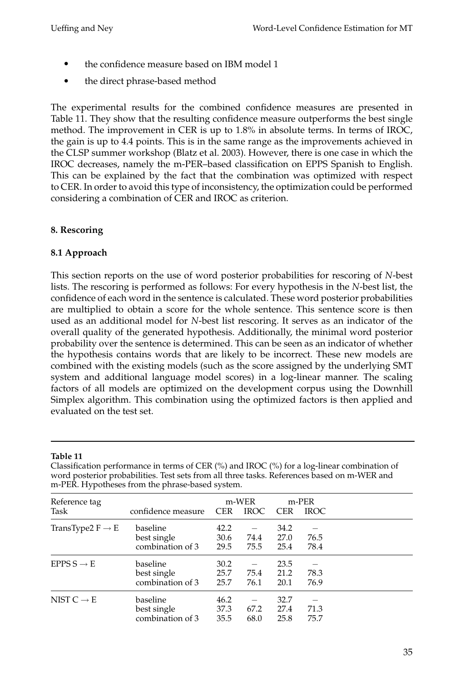- the confidence measure based on IBM model 1
- the direct phrase-based method

The experimental results for the combined confidence measures are presented in Table 11. They show that the resulting confidence measure outperforms the best single method. The improvement in CER is up to 1.8% in absolute terms. In terms of IROC, the gain is up to 4.4 points. This is in the same range as the improvements achieved in the CLSP summer workshop (Blatz et al. 2003). However, there is one case in which the IROC decreases, namely the m-PER–based classification on EPPS Spanish to English. This can be explained by the fact that the combination was optimized with respect to CER. In order to avoid this type of inconsistency, the optimization could be performed considering a combination of CER and IROC as criterion.

# **8. Rescoring**

# **8.1 Approach**

This section reports on the use of word posterior probabilities for rescoring of *N*-best lists. The rescoring is performed as follows: For every hypothesis in the *N*-best list, the confidence of each word in the sentence is calculated. These word posterior probabilities are multiplied to obtain a score for the whole sentence. This sentence score is then used as an additional model for *N*-best list rescoring. It serves as an indicator of the overall quality of the generated hypothesis. Additionally, the minimal word posterior probability over the sentence is determined. This can be seen as an indicator of whether the hypothesis contains words that are likely to be incorrect. These new models are combined with the existing models (such as the score assigned by the underlying SMT system and additional language model scores) in a log-linear manner. The scaling factors of all models are optimized on the development corpus using the Downhill Simplex algorithm. This combination using the optimized factors is then applied and evaluated on the test set.

### **Table 11**

| In TER. Hypotheses from the phase based system. |                                             |                             |              |                             |              |  |  |  |  |
|-------------------------------------------------|---------------------------------------------|-----------------------------|--------------|-----------------------------|--------------|--|--|--|--|
| Reference tag<br>Task                           | confidence measure                          | m-WER<br>IROC<br><b>CER</b> |              | m-PER<br>CER<br><b>IROC</b> |              |  |  |  |  |
| TransType2 $F \rightarrow E$                    | baseline<br>best single<br>combination of 3 | 42.2<br>30.6<br>29.5        | 74.4<br>75.5 | 34.2<br>27.0<br>25.4        | 76.5<br>78.4 |  |  |  |  |
| EPPS $S \rightarrow E$                          | baseline<br>best single<br>combination of 3 | 30.2<br>25.7<br>25.7        | 75.4<br>76.1 | 23.5<br>21.2<br>20.1        | 78.3<br>76.9 |  |  |  |  |
| NIST $C \rightarrow E$                          | baseline<br>best single<br>combination of 3 | 46.2<br>37.3<br>35.5        | 67.2<br>68.0 | 32.7<br>27.4<br>25.8        | 71.3<br>75.7 |  |  |  |  |

Classification performance in terms of CER  $(\%)$  and IROC  $(\%)$  for a log-linear combination of word posterior probabilities. Test sets from all three tasks. References based on m-WER and m-PER. Hypotheses from the phrase-based system.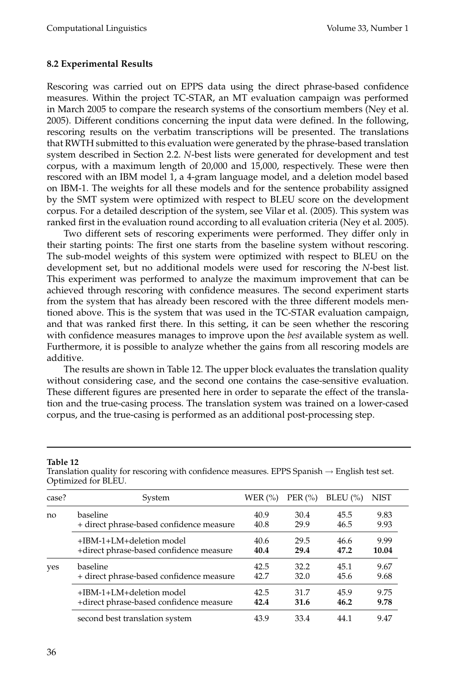### **8.2 Experimental Results**

Rescoring was carried out on EPPS data using the direct phrase-based confidence measures. Within the project TC-STAR, an MT evaluation campaign was performed in March 2005 to compare the research systems of the consortium members (Ney et al. 2005). Different conditions concerning the input data were defined. In the following, rescoring results on the verbatim transcriptions will be presented. The translations that RWTH submitted to this evaluation were generated by the phrase-based translation system described in Section 2.2. *N*-best lists were generated for development and test corpus, with a maximum length of 20,000 and 15,000, respectively. These were then rescored with an IBM model 1, a 4-gram language model, and a deletion model based on IBM-1. The weights for all these models and for the sentence probability assigned by the SMT system were optimized with respect to BLEU score on the development corpus. For a detailed description of the system, see Vilar et al. (2005). This system was ranked first in the evaluation round according to all evaluation criteria (Ney et al. 2005).

Two different sets of rescoring experiments were performed. They differ only in their starting points: The first one starts from the baseline system without rescoring. The sub-model weights of this system were optimized with respect to BLEU on the development set, but no additional models were used for rescoring the *N*-best list. This experiment was performed to analyze the maximum improvement that can be achieved through rescoring with confidence measures. The second experiment starts from the system that has already been rescored with the three different models mentioned above. This is the system that was used in the TC-STAR evaluation campaign, and that was ranked first there. In this setting, it can be seen whether the rescoring with confidence measures manages to improve upon the *best* available system as well. Furthermore, it is possible to analyze whether the gains from all rescoring models are additive.

The results are shown in Table 12. The upper block evaluates the translation quality without considering case, and the second one contains the case-sensitive evaluation. These different figures are presented here in order to separate the effect of the translation and the true-casing process. The translation system was trained on a lower-cased corpus, and the true-casing is performed as an additional post-processing step.

#### **Table 12**

| case? | System                                                              | WER $(\% )$  | PER $(\% )$  | $BLEU$ $(\%)$ | <b>NIST</b>   |
|-------|---------------------------------------------------------------------|--------------|--------------|---------------|---------------|
| no    | baseline<br>+ direct phrase-based confidence measure                | 40.9<br>40.8 | 30.4<br>29.9 | 45.5<br>46.5  | 9.83<br>9.93  |
|       | +IBM-1+LM+deletion model<br>+direct phrase-based confidence measure | 40.6<br>40.4 | 29.5<br>29.4 | 46.6<br>47.2  | 9.99<br>10.04 |
| yes   | baseline<br>+ direct phrase-based confidence measure                | 42.5<br>42.7 | 32.2<br>32.0 | 45.1<br>45.6  | 9.67<br>9.68  |
|       | +IBM-1+LM+deletion model<br>+direct phrase-based confidence measure | 42.5<br>42.4 | 31.7<br>31.6 | 45.9<br>46.2  | 9.75<br>9.78  |
|       | second best translation system                                      | 43.9         | 33.4         | 44.1          | 9.47          |

Translation quality for rescoring with confidence measures. EPPS Spanish  $\rightarrow$  English test set. Optimized for BLEU.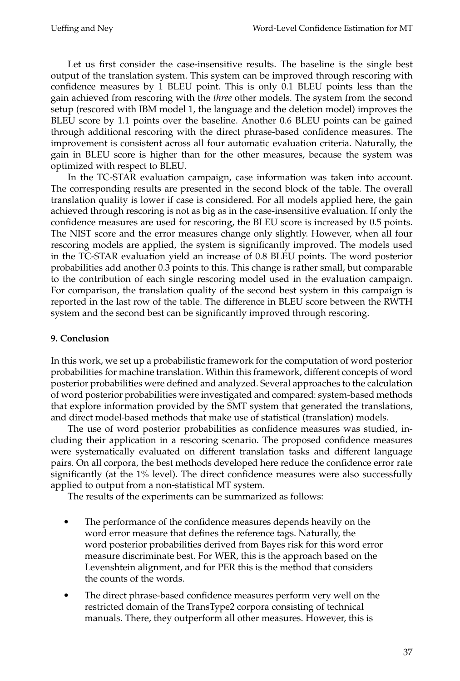Let us first consider the case-insensitive results. The baseline is the single best output of the translation system. This system can be improved through rescoring with confidence measures by 1 BLEU point. This is only 0.1 BLEU points less than the gain achieved from rescoring with the *three* other models. The system from the second setup (rescored with IBM model 1, the language and the deletion model) improves the BLEU score by 1.1 points over the baseline. Another 0.6 BLEU points can be gained through additional rescoring with the direct phrase-based confidence measures. The improvement is consistent across all four automatic evaluation criteria. Naturally, the gain in BLEU score is higher than for the other measures, because the system was optimized with respect to BLEU.

In the TC-STAR evaluation campaign, case information was taken into account. The corresponding results are presented in the second block of the table. The overall translation quality is lower if case is considered. For all models applied here, the gain achieved through rescoring is not as big as in the case-insensitive evaluation. If only the confidence measures are used for rescoring, the BLEU score is increased by 0.5 points. The NIST score and the error measures change only slightly. However, when all four rescoring models are applied, the system is significantly improved. The models used in the TC-STAR evaluation yield an increase of 0.8 BLEU points. The word posterior probabilities add another 0.3 points to this. This change is rather small, but comparable to the contribution of each single rescoring model used in the evaluation campaign. For comparison, the translation quality of the second best system in this campaign is reported in the last row of the table. The difference in BLEU score between the RWTH system and the second best can be significantly improved through rescoring.

# **9. Conclusion**

In this work, we set up a probabilistic framework for the computation of word posterior probabilities for machine translation. Within this framework, different concepts of word posterior probabilities were defined and analyzed. Several approaches to the calculation of word posterior probabilities were investigated and compared: system-based methods that explore information provided by the SMT system that generated the translations, and direct model-based methods that make use of statistical (translation) models.

The use of word posterior probabilities as confidence measures was studied, including their application in a rescoring scenario. The proposed confidence measures were systematically evaluated on different translation tasks and different language pairs. On all corpora, the best methods developed here reduce the confidence error rate significantly (at the 1% level). The direct confidence measures were also successfully applied to output from a non-statistical MT system.

The results of the experiments can be summarized as follows:

- The performance of the confidence measures depends heavily on the word error measure that defines the reference tags. Naturally, the word posterior probabilities derived from Bayes risk for this word error measure discriminate best. For WER, this is the approach based on the Levenshtein alignment, and for PER this is the method that considers the counts of the words.
- The direct phrase-based confidence measures perform very well on the restricted domain of the TransType2 corpora consisting of technical manuals. There, they outperform all other measures. However, this is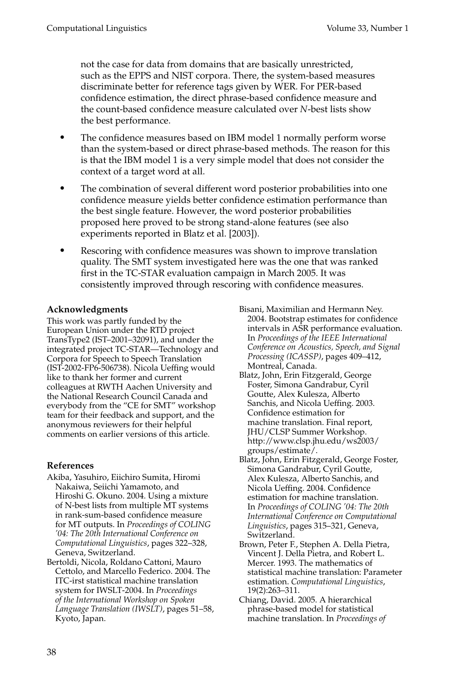not the case for data from domains that are basically unrestricted, such as the EPPS and NIST corpora. There, the system-based measures discriminate better for reference tags given by WER. For PER-based confidence estimation, the direct phrase-based confidence measure and the count-based confidence measure calculated over *N*-best lists show the best performance.

- The confidence measures based on IBM model 1 normally perform worse than the system-based or direct phrase-based methods. The reason for this is that the IBM model 1 is a very simple model that does not consider the context of a target word at all.
- The combination of several different word posterior probabilities into one confidence measure yields better confidence estimation performance than the best single feature. However, the word posterior probabilities proposed here proved to be strong stand-alone features (see also experiments reported in Blatz et al. [2003]).
- Rescoring with confidence measures was shown to improve translation quality. The SMT system investigated here was the one that was ranked first in the TC-STAR evaluation campaign in March 2005. It was consistently improved through rescoring with confidence measures.

# **Acknowledgments**

This work was partly funded by the European Union under the RTD project TransType2 (IST–2001–32091), and under the integrated project TC-STAR—Technology and Corpora for Speech to Speech Translation (IST-2002-FP6-506738). Nicola Ueffing would like to thank her former and current colleagues at RWTH Aachen University and the National Research Council Canada and everybody from the "CE for SMT" workshop team for their feedback and support, and the anonymous reviewers for their helpful comments on earlier versions of this article.

# **References**

- Akiba, Yasuhiro, Eiichiro Sumita, Hiromi Nakaiwa, Seiichi Yamamoto, and Hiroshi G. Okuno. 2004. Using a mixture of N-best lists from multiple MT systems in rank-sum-based confidence measure for MT outputs. In *Proceedings of COLING '04: The 20th International Conference on Computational Linguistics*, pages 322–328, Geneva, Switzerland.
- Bertoldi, Nicola, Roldano Cattoni, Mauro Cettolo, and Marcello Federico. 2004. The ITC-irst statistical machine translation system for IWSLT-2004. In *Proceedings of the International Workshop on Spoken Language Translation (IWSLT)*, pages 51–58, Kyoto, Japan.
- Bisani, Maximilian and Hermann Ney. 2004. Bootstrap estimates for confidence intervals in ASR performance evaluation. In *Proceedings of the IEEE International Conference on Acoustics, Speech, and Signal Processing (ICASSP)*, pages 409–412, Montreal, Canada.
- Blatz, John, Erin Fitzgerald, George Foster, Simona Gandrabur, Cyril Goutte, Alex Kulesza, Alberto Sanchis, and Nicola Ueffing. 2003. Confidence estimation for machine translation. Final report, JHU/CLSP Summer Workshop. http://www.clsp.jhu.edu/ws2003/ groups/estimate/.
- Blatz, John, Erin Fitzgerald, George Foster, Simona Gandrabur, Cyril Goutte, Alex Kulesza, Alberto Sanchis, and Nicola Ueffing. 2004. Confidence estimation for machine translation. In *Proceedings of COLING '04: The 20th International Conference on Computational Linguistics*, pages 315–321, Geneva, Switzerland.
- Brown, Peter F., Stephen A. Della Pietra, Vincent J. Della Pietra, and Robert L. Mercer. 1993. The mathematics of statistical machine translation: Parameter estimation. *Computational Linguistics*, 19(2):263–311.
- Chiang, David. 2005. A hierarchical phrase-based model for statistical machine translation. In *Proceedings of*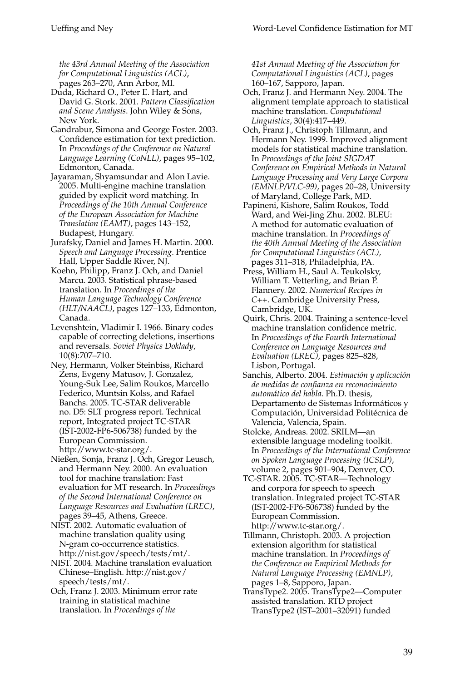*the 43rd Annual Meeting of the Association for Computational Linguistics (ACL)*, pages 263–270, Ann Arbor, MI.

- Duda, Richard O., Peter E. Hart, and David G. Stork. 2001. *Pattern Classification and Scene Analysis*. John Wiley & Sons, New York.
- Gandrabur, Simona and George Foster. 2003. Confidence estimation for text prediction. In *Proceedings of the Conference on Natural Language Learning (CoNLL)*, pages 95–102, Edmonton, Canada.
- Jayaraman, Shyamsundar and Alon Lavie. 2005. Multi-engine machine translation guided by explicit word matching. In *Proceedings of the 10th Annual Conference of the European Association for Machine Translation (EAMT)*, pages 143–152, Budapest, Hungary.
- Jurafsky, Daniel and James H. Martin. 2000. *Speech and Language Processing*. Prentice Hall, Upper Saddle River, NJ.
- Koehn, Philipp, Franz J. Och, and Daniel Marcu. 2003. Statistical phrase-based translation. In *Proceedings of the Human Language Technology Conference (HLT/NAACL)*, pages 127–133, Edmonton, Canada.
- Levenshtein, Vladimir I. 1966. Binary codes capable of correcting deletions, insertions and reversals. *Soviet Physics Doklady*, 10(8):707–710.
- Ney, Hermann, Volker Steinbiss, Richard Zens, Evgeny Matusov, J. Gonzalez, Young-Suk Lee, Salim Roukos, Marcello Federico, Muntsin Kolss, and Rafael Banchs. 2005. TC-STAR deliverable no. D5: SLT progress report. Technical report, Integrated project TC-STAR (IST-2002-FP6-506738) funded by the European Commission. http://www.tc-star.org/.
- Nießen, Sonja, Franz J. Och, Gregor Leusch, and Hermann Ney. 2000. An evaluation tool for machine translation: Fast evaluation for MT research. In *Proceedings of the Second International Conference on Language Resources and Evaluation (LREC)*, pages 39–45, Athens, Greece.
- NIST. 2002. Automatic evaluation of machine translation quality using N-gram co-occurrence statistics. http://nist.gov/speech/tests/mt/.
- NIST. 2004. Machine translation evaluation Chinese–English. http://nist.gov/ speech/tests/mt/.
- Och, Franz J. 2003. Minimum error rate training in statistical machine translation. In *Proceedings of the*

*41st Annual Meeting of the Association for Computational Linguistics (ACL)*, pages 160–167, Sapporo, Japan.

- Och, Franz J. and Hermann Ney. 2004. The alignment template approach to statistical machine translation. *Computational Linguistics*, 30(4):417–449.
- Och, Franz J., Christoph Tillmann, and Hermann Ney. 1999. Improved alignment models for statistical machine translation. In *Proceedings of the Joint SIGDAT Conference on Empirical Methods in Natural Language Processing and Very Large Corpora (EMNLP/VLC-99)*, pages 20–28, University of Maryland, College Park, MD.
- Papineni, Kishore, Salim Roukos, Todd Ward, and Wei-Jing Zhu. 2002. BLEU: A method for automatic evaluation of machine translation. In *Proceedings of the 40th Annual Meeting of the Association for Computational Linguistics (ACL),* pages 311–318, Philadelphia, PA.
- Press, William H., Saul A. Teukolsky, William T. Vetterling, and Brian P. Flannery. 2002. *Numerical Recipes in C++*. Cambridge University Press, Cambridge, UK.
- Quirk, Chris. 2004. Training a sentence-level machine translation confidence metric. In *Proceedings of the Fourth International Conference on Language Resources and Evaluation (LREC)*, pages 825–828, Lisbon, Portugal.
- Sanchis, Alberto. 2004. *Estimación y aplicación de medidas de confianza en reconocimiento autom´atico del habla*. Ph.D. thesis, Departamento de Sistemas Informáticos y Computación, Universidad Politécnica de Valencia, Valencia, Spain.
- Stolcke, Andreas. 2002. SRILM—an extensible language modeling toolkit. In *Proceedings of the International Conference on Spoken Language Processing (ICSLP)*, volume 2, pages 901–904, Denver, CO.
- TC-STAR. 2005. TC-STAR—Technology and corpora for speech to speech translation. Integrated project TC-STAR (IST-2002-FP6-506738) funded by the European Commission. http://www.tc-star.org/.
- Tillmann, Christoph. 2003. A projection extension algorithm for statistical machine translation. In *Proceedings of the Conference on Empirical Methods for Natural Language Processing (EMNLP)*, pages 1–8, Sapporo, Japan.
- TransType2. 2005. TransType2—Computer assisted translation. RTD project TransType2 (IST–2001–32091) funded